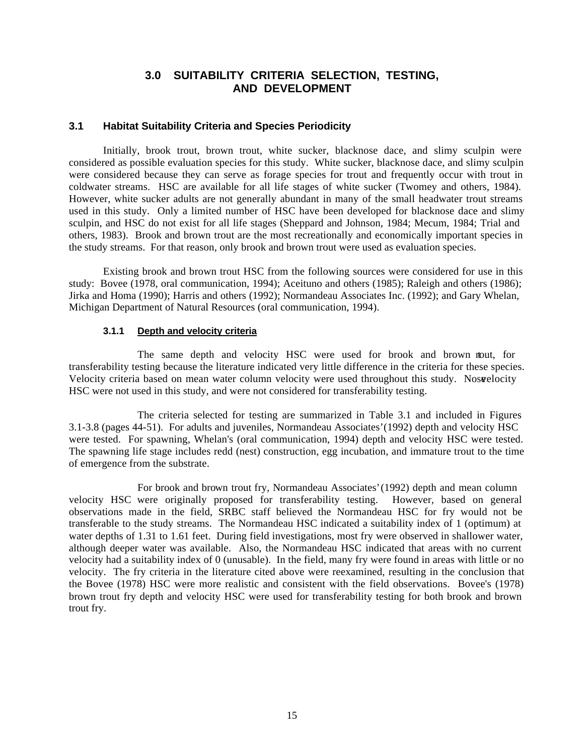## **3.0 SUITABILITY CRITERIA SELECTION, TESTING, AND DEVELOPMENT**

## **3.1 Habitat Suitability Criteria and Species Periodicity**

Initially, brook trout, brown trout, white sucker, blacknose dace, and slimy sculpin were considered as possible evaluation species for this study. White sucker, blacknose dace, and slimy sculpin were considered because they can serve as forage species for trout and frequently occur with trout in coldwater streams. HSC are available for all life stages of white sucker (Twomey and others, 1984). However, white sucker adults are not generally abundant in many of the small headwater trout streams used in this study. Only a limited number of HSC have been developed for blacknose dace and slimy sculpin, and HSC do not exist for all life stages (Sheppard and Johnson, 1984; Mecum, 1984; Trial and others, 1983). Brook and brown trout are the most recreationally and economically important species in the study streams. For that reason, only brook and brown trout were used as evaluation species.

Existing brook and brown trout HSC from the following sources were considered for use in this study: Bovee (1978, oral communication, 1994); Aceituno and others (1985); Raleigh and others (1986); Jirka and Homa (1990); Harris and others (1992); Normandeau Associates Inc. (1992); and Gary Whelan, Michigan Department of Natural Resources (oral communication, 1994).

#### **3.1.1 Depth and velocity criteria**

The same depth and velocity HSC were used for brook and brown tout, for transferability testing because the literature indicated very little difference in the criteria for these species. Velocity criteria based on mean water column velocity were used throughout this study. Noswelocity HSC were not used in this study, and were not considered for transferability testing.

The criteria selected for testing are summarized in Table 3.1 and included in Figures 3.1-3.8 (pages 44-51). For adults and juveniles, Normandeau Associates' (1992) depth and velocity HSC were tested. For spawning, Whelan's (oral communication, 1994) depth and velocity HSC were tested. The spawning life stage includes redd (nest) construction, egg incubation, and immature trout to the time of emergence from the substrate.

For brook and brown trout fry, Normandeau Associates' (1992) depth and mean column velocity HSC were originally proposed for transferability testing. However, based on general observations made in the field, SRBC staff believed the Normandeau HSC for fry would not be transferable to the study streams. The Normandeau HSC indicated a suitability index of 1 (optimum) at water depths of 1.31 to 1.61 feet. During field investigations, most fry were observed in shallower water, although deeper water was available. Also, the Normandeau HSC indicated that areas with no current velocity had a suitability index of 0 (unusable). In the field, many fry were found in areas with little or no velocity. The fry criteria in the literature cited above were reexamined, resulting in the conclusion that the Bovee (1978) HSC were more realistic and consistent with the field observations. Bovee's (1978) brown trout fry depth and velocity HSC were used for transferability testing for both brook and brown trout fry.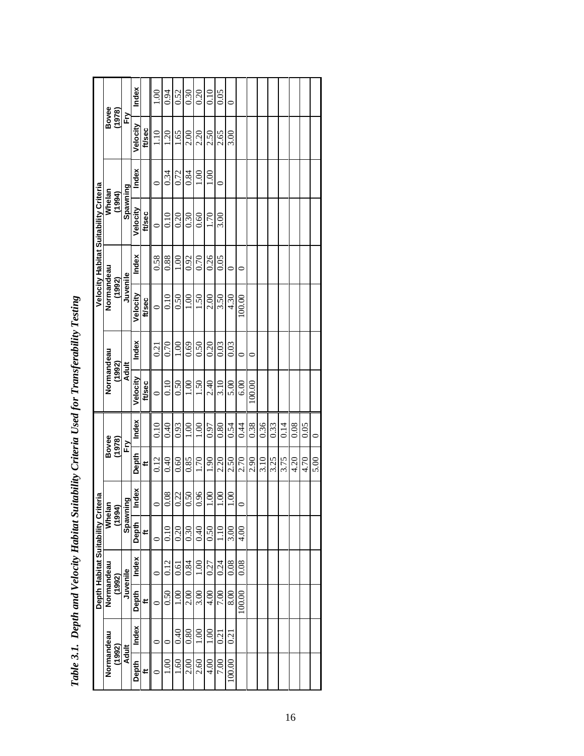|                                       | Bovee<br>(1978)      |              | Index    |        | 1.00    | 0.94 | 0.52          | 0.30             | 0.20          | 0.10           | 0.05             |                |         |        |      |      |      |      |      |         |
|---------------------------------------|----------------------|--------------|----------|--------|---------|------|---------------|------------------|---------------|----------------|------------------|----------------|---------|--------|------|------|------|------|------|---------|
|                                       |                      | ÈŅ           | Velocity | ft/sec | 1.10    | 1.20 | 1.65          | 2.00             | 2.20          | 2.50           | 2.65             | 3.00           |         |        |      |      |      |      |      |         |
|                                       |                      |              | Index    |        |         | 0.34 | 0.72          | 0.84             | 00.1          | 1.00           | $\circ$          |                |         |        |      |      |      |      |      |         |
| Velocity Habitat Suitability Criteria | Whelan<br>(1994)     | Spawning     | Velocity | ft/sec | $\circ$ | 0.10 | 0.20          | 0.30             | 0.60          | 1.70           | 3.00             |                |         |        |      |      |      |      |      |         |
|                                       |                      |              | Index    |        | 0.58    | 0.88 | 00.1          | 0.92             | 0.70          | 0.26           | 0.05             |                | 0       |        |      |      |      |      |      |         |
|                                       | Normandeau<br>(1992) | Juvenile     | Velocity | ft/sec | $\circ$ | 0.10 | 0.50          | 0.00             | 1.50          | 2.00           | 3.50             | 4.30           | 100.00  |        |      |      |      |      |      |         |
|                                       |                      |              | Index    |        | 0.21    | 0.70 | 00.1          | 0.69             | 0.50          | 0.20           | 0.03             | 0.03           | $\circ$ | 0      |      |      |      |      |      |         |
|                                       | Normandeau<br>(1992) | <b>Adult</b> | Velocity | ft/sec | $\circ$ | 0.10 | 0.50          | 0.00             | $-50$         | 2.40           | 3.10             | 5.00           | 6.00    | 100.00 |      |      |      |      |      |         |
|                                       |                      |              | Index    |        | 0.10    | 0.40 | 0.93          | 00.1             | $\frac{8}{1}$ | 0.97           | 0.80             | 0.54           | 0.44    | 0.38   | 0.36 | 0.33 | 0.14 | 0.08 | 0.05 | $\circ$ |
|                                       | Bovee<br>(1978)      | ÈŅ           | Depth    | ť      | 0.12    | 0.40 | 0.60          | 0.85             | 0.71          | 1.90           | 2.20             | 2.50           | 2.70    | 2.90   | 3.10 | 3.25 | 3.75 | 4.20 | 4.70 | 5.00    |
| eria                                  | Whelar<br>(1994)     | po           | ndex     |        |         | 0.08 | 0.22          | 0.50             | 06            | 00.1           | 0.00             | $\frac{8}{1}$  |         |        |      |      |      |      |      |         |
|                                       |                      | Spawni       | Depth    | ≓      | $\circ$ | 0.10 | 0.20          | 0.30             | 0.40          | 0.50           | 1.10             | 3.00           | 4.00    |        |      |      |      |      |      |         |
| Depth Habitat Suitability Crit        | Normandeau<br>(1992) | Juvenile     | Index    |        | ∊       | 0.12 | 0.61          | 0.84             | $\frac{8}{1}$ | 0.27           | 0.24             | 0.08           | 0.08    |        |      |      |      |      |      |         |
|                                       |                      |              | Depth    | ŧ.     |         | 0.50 | $\frac{8}{1}$ | 2.00             | 3.00          | 4.00           | 7.00             | 8.00           | 100.00  |        |      |      |      |      |      |         |
|                                       |                      | <b>Adult</b> | Index    |        | 0       |      | 0.40          | 0.80             | $\frac{8}{1}$ | $\overline{0}$ | $\overline{1}20$ | $\overline{c}$ |         |        |      |      |      |      |      |         |
|                                       | Normandeau<br>(1992) |              | Depth    | v,     |         | S    | <u>୍</u>      | $\frac{2.00}{2}$ | 2.60          | 4.00           | 7.00             | 100.00         |         |        |      |      |      |      |      |         |

| ľ                                                                 |
|-------------------------------------------------------------------|
|                                                                   |
| l<br>I                                                            |
|                                                                   |
|                                                                   |
|                                                                   |
|                                                                   |
|                                                                   |
| l                                                                 |
| ;                                                                 |
| ;                                                                 |
|                                                                   |
| l<br>i                                                            |
| ;                                                                 |
|                                                                   |
| ֧֧֧֧ׅ֧ׅ֧ׅ֧ׅ֧֧֧֛֚֚֚֚֚֚֚֚֚֚֚֚֚֚֚֚֚֚֚֚֚֚֚֚֚֚֚֚֚֚֚֟֝֟֓֜֓֜֓֜֓֜֜֜֝<br>l |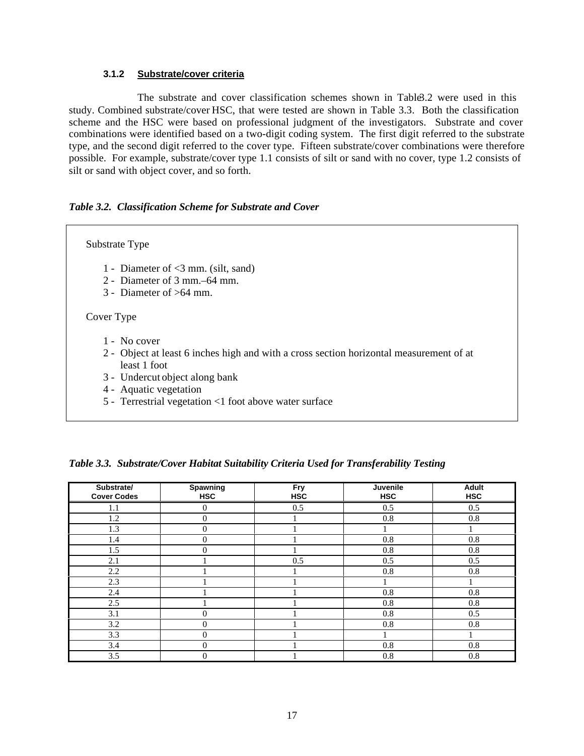#### **3.1.2 Substrate/cover criteria**

The substrate and cover classification schemes shown in Table 3.2 were used in this study. Combined substrate/cover HSC, that were tested are shown in Table 3.3. Both the classification scheme and the HSC were based on professional judgment of the investigators. Substrate and cover combinations were identified based on a two-digit coding system. The first digit referred to the substrate type, and the second digit referred to the cover type. Fifteen substrate/cover combinations were therefore possible. For example, substrate/cover type 1.1 consists of silt or sand with no cover, type 1.2 consists of silt or sand with object cover, and so forth.

#### *Table 3.2. Classification Scheme for Substrate and Cover*

# Substrate Type 1 - Diameter of <3 mm. (silt, sand) 2 - Diameter of 3 mm.–64 mm. 3 - Diameter of >64 mm. Cover Type 1 - No cover 2 - Object at least 6 inches high and with a cross section horizontal measurement of at least 1 foot 3 - Undercut object along bank 4 - Aquatic vegetation

5 - Terrestrial vegetation <1 foot above water surface

|  | Table 3.3. Substrate/Cover Habitat Suitability Criteria Used for Transferability Testing |  |  |
|--|------------------------------------------------------------------------------------------|--|--|
|  |                                                                                          |  |  |

| Substrate/<br><b>Cover Codes</b> | Spawning<br><b>HSC</b> | Fry<br><b>HSC</b> | Juvenile<br><b>HSC</b> | <b>Adult</b><br><b>HSC</b> |
|----------------------------------|------------------------|-------------------|------------------------|----------------------------|
| 1.1                              | $\theta$               | 0.5               | 0.5                    | 0.5                        |
| 1.2                              | $\theta$               |                   | 0.8                    | 0.8                        |
| 1.3                              | $\theta$               |                   |                        |                            |
| 1.4                              | $\theta$               |                   | 0.8                    | 0.8                        |
| 1.5                              | $\Omega$               |                   | 0.8                    | 0.8                        |
| 2.1                              |                        | 0.5               | 0.5                    | 0.5                        |
| 2.2                              |                        |                   | 0.8                    | 0.8                        |
| 2.3                              |                        |                   |                        |                            |
| 2.4                              |                        |                   | 0.8                    | 0.8                        |
| 2.5                              |                        |                   | 0.8                    | 0.8                        |
| 3.1                              | $\Omega$               |                   | 0.8                    | 0.5                        |
| 3.2                              | $\Omega$               |                   | 0.8                    | 0.8                        |
| 3.3                              | $\Omega$               |                   |                        |                            |
| 3.4                              | $\theta$               |                   | 0.8                    | 0.8                        |
| 3.5                              | $\theta$               |                   | 0.8                    | 0.8                        |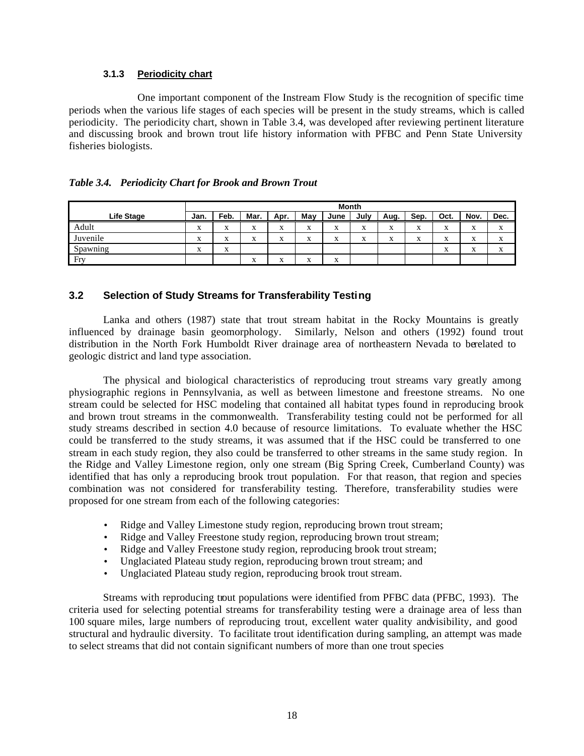## **3.1.3 Periodicity chart**

One important component of the Instream Flow Study is the recognition of specific time periods when the various life stages of each species will be present in the study streams, which is called periodicity. The periodicity chart, shown in Table 3.4, was developed after reviewing pertinent literature and discussing brook and brown trout life history information with PFBC and Penn State University fisheries biologists.

|  | Table 3.4. Periodicity Chart for Brook and Brown Trout |
|--|--------------------------------------------------------|
|--|--------------------------------------------------------|

|            |                           |                           |                |                      |                   | Month             |                           |                   |                           |                                       |                           |           |
|------------|---------------------------|---------------------------|----------------|----------------------|-------------------|-------------------|---------------------------|-------------------|---------------------------|---------------------------------------|---------------------------|-----------|
| Life Stage | Jan.                      | Feb.                      | Mar.           | Apr.                 | Mav               | June              | July                      | Aug.              | Sep.                      | Oct.                                  | Nov.                      | Dec.      |
| Adult      | <b>WF</b><br>A            | $\mathbf{v}$<br>л         | л              | $\cdot$<br>$\Lambda$ | X                 | л                 | $\mathbf{r}$<br>A         | v<br>л            | $\mathbf{r}$<br>л         | $\Lambda$                             | $\mathbf{r}$<br>A         | $\Lambda$ |
| Juvenile   | $\mathbf{r}$<br>$\Lambda$ | $\mathbf{r}$<br>$\Lambda$ | <b>xr</b><br>л | $\cdot$<br>$\Lambda$ | X                 | $\mathbf{r}$<br>л | $\mathbf{r}$<br>$\Lambda$ | $\mathbf{v}$<br>л | $\mathbf{v}$<br>$\Lambda$ | <b>WF</b><br>л                        | $\mathbf{r}$<br>$\Lambda$ | $\Lambda$ |
| Spawning   | <b>WF</b><br>$\Lambda$    | $\mathbf{v}$<br>A         |                |                      |                   |                   |                           |                   |                           | $\overline{\phantom{a}}$<br>$\Lambda$ | $\cdot$<br>$\Lambda$      | $\Lambda$ |
| Fry        |                           |                           | л              | $\cdot$<br>$\Lambda$ | $\mathbf{v}$<br>A | $\Lambda$         |                           |                   |                           |                                       |                           |           |

## **3.2 Selection of Study Streams for Transferability Testing**

Lanka and others (1987) state that trout stream habitat in the Rocky Mountains is greatly influenced by drainage basin geomorphology. Similarly, Nelson and others (1992) found trout distribution in the North Fork Humboldt River drainage area of northeastern Nevada to berelated to geologic district and land type association.

The physical and biological characteristics of reproducing trout streams vary greatly among physiographic regions in Pennsylvania, as well as between limestone and freestone streams. No one stream could be selected for HSC modeling that contained all habitat types found in reproducing brook and brown trout streams in the commonwealth. Transferability testing could not be performed for all study streams described in section 4.0 because of resource limitations. To evaluate whether the HSC could be transferred to the study streams, it was assumed that if the HSC could be transferred to one stream in each study region, they also could be transferred to other streams in the same study region. In the Ridge and Valley Limestone region, only one stream (Big Spring Creek, Cumberland County) was identified that has only a reproducing brook trout population. For that reason, that region and species combination was not considered for transferability testing. Therefore, transferability studies were proposed for one stream from each of the following categories:

- Ridge and Valley Limestone study region, reproducing brown trout stream;
- Ridge and Valley Freestone study region, reproducing brown trout stream;
- Ridge and Valley Freestone study region, reproducing brook trout stream;
- Unglaciated Plateau study region, reproducing brown trout stream; and
- Unglaciated Plateau study region, reproducing brook trout stream.

Streams with reproducing trout populations were identified from PFBC data (PFBC, 1993). The criteria used for selecting potential streams for transferability testing were a drainage area of less than 100 square miles, large numbers of reproducing trout, excellent water quality andvisibility, and good structural and hydraulic diversity. To facilitate trout identification during sampling, an attempt was made to select streams that did not contain significant numbers of more than one trout species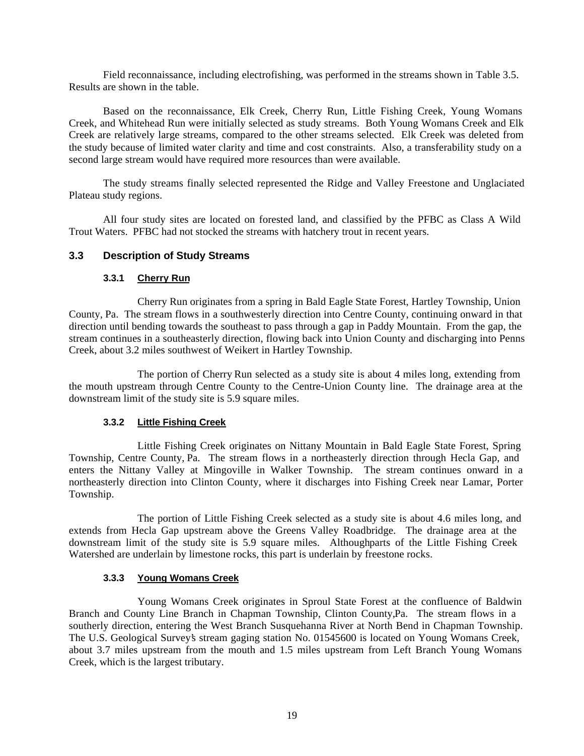Field reconnaissance, including electrofishing, was performed in the streams shown in Table 3.5. Results are shown in the table.

Based on the reconnaissance, Elk Creek, Cherry Run, Little Fishing Creek, Young Womans Creek, and Whitehead Run were initially selected as study streams. Both Young Womans Creek and Elk Creek are relatively large streams, compared to the other streams selected. Elk Creek was deleted from the study because of limited water clarity and time and cost constraints. Also, a transferability study on a second large stream would have required more resources than were available.

The study streams finally selected represented the Ridge and Valley Freestone and Unglaciated Plateau study regions.

All four study sites are located on forested land, and classified by the PFBC as Class A Wild Trout Waters. PFBC had not stocked the streams with hatchery trout in recent years.

## **3.3 Description of Study Streams**

## **3.3.1 Cherry Run**

Cherry Run originates from a spring in Bald Eagle State Forest, Hartley Township, Union County, Pa. The stream flows in a southwesterly direction into Centre County, continuing onward in that direction until bending towards the southeast to pass through a gap in Paddy Mountain. From the gap, the stream continues in a southeasterly direction, flowing back into Union County and discharging into Penns Creek, about 3.2 miles southwest of Weikert in Hartley Township.

The portion of Cherry Run selected as a study site is about 4 miles long, extending from the mouth upstream through Centre County to the Centre-Union County line. The drainage area at the downstream limit of the study site is 5.9 square miles.

## **3.3.2 Little Fishing Creek**

Little Fishing Creek originates on Nittany Mountain in Bald Eagle State Forest, Spring Township, Centre County, Pa. The stream flows in a northeasterly direction through Hecla Gap, and enters the Nittany Valley at Mingoville in Walker Township. The stream continues onward in a northeasterly direction into Clinton County, where it discharges into Fishing Creek near Lamar, Porter Township.

The portion of Little Fishing Creek selected as a study site is about 4.6 miles long, and extends from Hecla Gap upstream above the Greens Valley Roadbridge. The drainage area at the downstream limit of the study site is 5.9 square miles. Althoughparts of the Little Fishing Creek Watershed are underlain by limestone rocks, this part is underlain by freestone rocks.

## **3.3.3 Young Womans Creek**

Young Womans Creek originates in Sproul State Forest at the confluence of Baldwin Branch and County Line Branch in Chapman Township, Clinton County,Pa. The stream flows in a southerly direction, entering the West Branch Susquehanna River at North Bend in Chapman Township. The U.S. Geological Survey's stream gaging station No. 01545600 is located on Young Womans Creek, about 3.7 miles upstream from the mouth and 1.5 miles upstream from Left Branch Young Womans Creek, which is the largest tributary.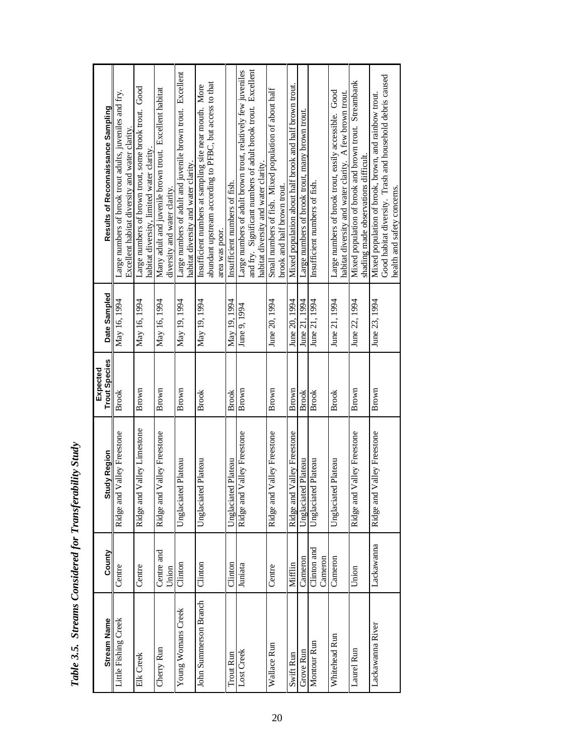|                       |                        |                               | Expected             |               |                                                                                                                  |
|-----------------------|------------------------|-------------------------------|----------------------|---------------|------------------------------------------------------------------------------------------------------------------|
| <b>Stream Name</b>    | County                 | <b>Study Region</b>           | <b>Trout Species</b> | Date Sampled  | Results of Reconnaissance Sampling                                                                               |
| Little Fishing Creek  | Centre                 | Ridge and Valley Freestone    | Brook                | May 16, 1994  | Large numbers of brook trout adults, juveniles and fry.                                                          |
|                       |                        |                               |                      |               | Excellent habitat diversity and water clarity                                                                    |
| Elk Creek             | Centre                 | Valley Limestone<br>Ridge and | Brown                | May 16, 1994  | Large numbers of brown trout, some brook trout. Good                                                             |
|                       |                        |                               |                      |               | habitat diversity, limited water clarity                                                                         |
| Cherry Run            | Centre and             | Ridge and Valley Freestone    | Brown                | May 16, 1994  | Many adult and juvenile brown trout. Excellent habitat                                                           |
|                       | Union                  |                               |                      |               | diversity and water clarity.                                                                                     |
| Young Womans Creek    | Clinton                | Unglaciated Plateau           | Brown                | May 19, 1994  | Large numbers of adult and juvenile brown trout. Excellent                                                       |
|                       |                        |                               |                      |               | habitat diversity and water clarity.                                                                             |
| John Summerson Branch | Clinton                | Unglaciated Plateau           | <b>Brook</b>         | May 19, 1994  | Insufficient numbers at sampling site near mouth. More                                                           |
|                       |                        |                               |                      |               | abundant upstream according to PFBC, but access to that                                                          |
|                       |                        |                               |                      |               | area was poor.                                                                                                   |
| Trout Run             | Clinton                | Unglaciated Plateau           | Brook                | May 19, 1994  | Insufficient numbers of fish.                                                                                    |
| Lost Creek            | Juniata                | Valley Freestone<br>Ridge and | Brown                | June 9, 1994  | Large numbers of adult brown trout, relatively few juveniles                                                     |
|                       |                        |                               |                      |               | and fry. Significant numbers of adult brook trout. Excellent                                                     |
|                       |                        |                               |                      |               | habitat diversity and water clarity.                                                                             |
| Wallace Run           | Centre                 | Valley Freestone<br>Ridge and | Brown                | June 20, 1994 | Small numbers of fish. Mixed population of about half                                                            |
|                       |                        |                               |                      |               | brook and half brown trout.                                                                                      |
| Swift Run             | Mifflin                | Ridge and Valley Freestone    | Brown                | June 20, 1994 | Mixed population about half brook and half brown trout.                                                          |
| <b>Grove Run</b>      | Cameron                | Unglaciated Plateau           | Brook                | June 21, 1994 | Large numbers of brook trout, many brown trout.                                                                  |
| Montour Run           | Clinton and<br>Cameron | Unglaciated Plateau           | <b>Brook</b>         | June 21, 1994 | Insufficient numbers of fish.                                                                                    |
|                       |                        |                               |                      |               |                                                                                                                  |
| Whitehead Run         | Cameron                | Unglaciated Plateau           | <b>Brook</b>         | June 21, 1994 | Large numbers of brook trout, easily accessible. Good<br>habitat diversity and water clarity. A few brown trout. |
|                       |                        |                               |                      |               |                                                                                                                  |
| Laurel Run            | Union                  | Ridge and Valley Freestone    | Brown                | June 22, 1994 | Mixed population of brook and brown trout. Streambank<br>shading made observations difficult.                    |
| Lackawanna River      | Lackawanna             | Valley Freestone<br>Ridge and | Brown                | June 23, 1994 | Mixed population of brook, brown, and rainbow trout.                                                             |
|                       |                        |                               |                      |               | Good habitat diversity. Trash and household debris caused                                                        |
|                       |                        |                               |                      |               | health and safety concerns.                                                                                      |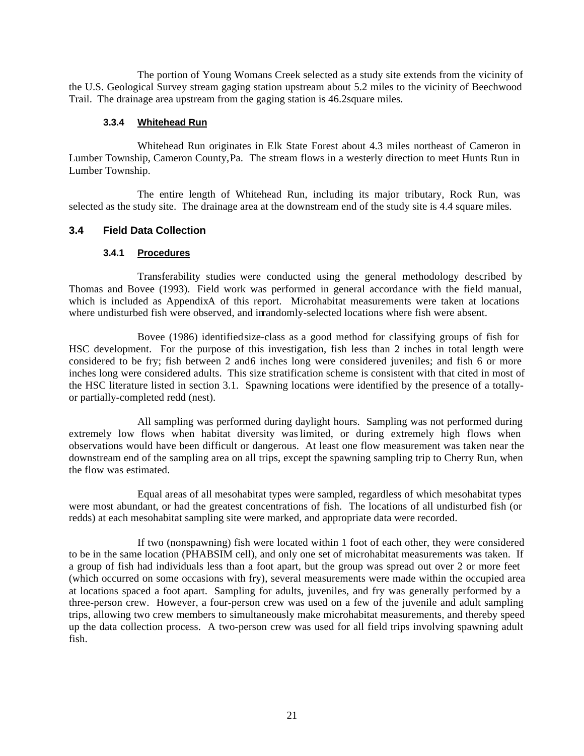The portion of Young Womans Creek selected as a study site extends from the vicinity of the U.S. Geological Survey stream gaging station upstream about 5.2 miles to the vicinity of Beechwood Trail. The drainage area upstream from the gaging station is 46.2 square miles.

## **3.3.4 Whitehead Run**

Whitehead Run originates in Elk State Forest about 4.3 miles northeast of Cameron in Lumber Township, Cameron County, Pa. The stream flows in a westerly direction to meet Hunts Run in Lumber Township.

The entire length of Whitehead Run, including its major tributary, Rock Run, was selected as the study site. The drainage area at the downstream end of the study site is 4.4 square miles.

## **3.4 Field Data Collection**

#### **3.4.1 Procedures**

Transferability studies were conducted using the general methodology described by Thomas and Bovee (1993). Field work was performed in general accordance with the field manual, which is included as AppendixA of this report. Microhabitat measurements were taken at locations where undisturbed fish were observed, and in randomly-selected locations where fish were absent.

Bovee (1986) identifiedsize-class as a good method for classifying groups of fish for HSC development. For the purpose of this investigation, fish less than 2 inches in total length were considered to be fry; fish between 2 and6 inches long were considered juveniles; and fish 6 or more inches long were considered adults. This size stratification scheme is consistent with that cited in most of the HSC literature listed in section 3.1. Spawning locations were identified by the presence of a totallyor partially-completed redd (nest).

All sampling was performed during daylight hours. Sampling was not performed during extremely low flows when habitat diversity waslimited, or during extremely high flows when observations would have been difficult or dangerous. At least one flow measurement was taken near the downstream end of the sampling area on all trips, except the spawning sampling trip to Cherry Run, when the flow was estimated.

Equal areas of all mesohabitat types were sampled, regardless of which mesohabitat types were most abundant, or had the greatest concentrations of fish. The locations of all undisturbed fish (or redds) at each mesohabitat sampling site were marked, and appropriate data were recorded.

If two (nonspawning) fish were located within 1 foot of each other, they were considered to be in the same location (PHABSIM cell), and only one set of microhabitat measurements was taken. If a group of fish had individuals less than a foot apart, but the group was spread out over 2 or more feet (which occurred on some occasions with fry), several measurements were made within the occupied area at locations spaced a foot apart. Sampling for adults, juveniles, and fry was generally performed by a three-person crew. However, a four-person crew was used on a few of the juvenile and adult sampling trips, allowing two crew members to simultaneously make microhabitat measurements, and thereby speed up the data collection process. A two-person crew was used for all field trips involving spawning adult fish.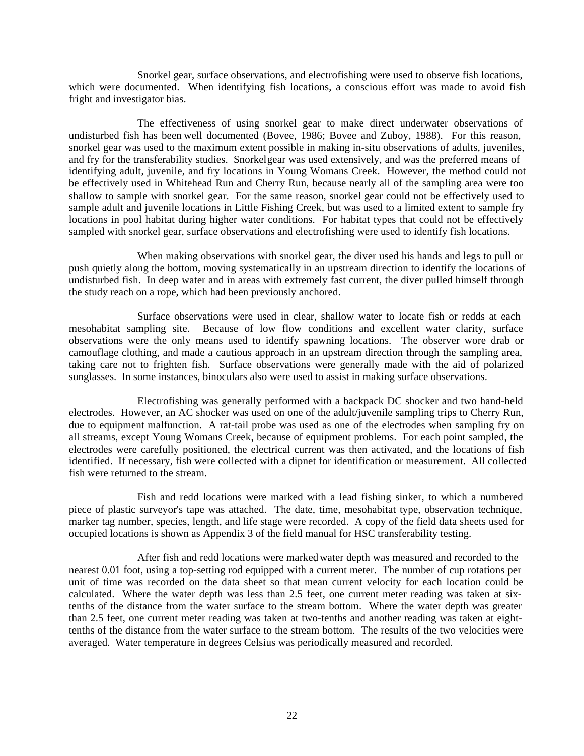Snorkel gear, surface observations, and electrofishing were used to observe fish locations, which were documented. When identifying fish locations, a conscious effort was made to avoid fish fright and investigator bias.

The effectiveness of using snorkel gear to make direct underwater observations of undisturbed fish has been well documented (Bovee, 1986; Bovee and Zuboy, 1988). For this reason, snorkel gear was used to the maximum extent possible in making in-situ observations of adults, juveniles, and fry for the transferability studies. Snorkel gear was used extensively, and was the preferred means of identifying adult, juvenile, and fry locations in Young Womans Creek. However, the method could not be effectively used in Whitehead Run and Cherry Run, because nearly all of the sampling area were too shallow to sample with snorkel gear. For the same reason, snorkel gear could not be effectively used to sample adult and juvenile locations in Little Fishing Creek, but was used to a limited extent to sample fry locations in pool habitat during higher water conditions. For habitat types that could not be effectively sampled with snorkel gear, surface observations and electrofishing were used to identify fish locations.

When making observations with snorkel gear, the diver used his hands and legs to pull or push quietly along the bottom, moving systematically in an upstream direction to identify the locations of undisturbed fish. In deep water and in areas with extremely fast current, the diver pulled himself through the study reach on a rope, which had been previously anchored.

Surface observations were used in clear, shallow water to locate fish or redds at each mesohabitat sampling site. Because of low flow conditions and excellent water clarity, surface observations were the only means used to identify spawning locations. The observer wore drab or camouflage clothing, and made a cautious approach in an upstream direction through the sampling area, taking care not to frighten fish. Surface observations were generally made with the aid of polarized sunglasses. In some instances, binoculars also were used to assist in making surface observations.

Electrofishing was generally performed with a backpack DC shocker and two hand-held electrodes. However, an AC shocker was used on one of the adult/juvenile sampling trips to Cherry Run, due to equipment malfunction. A rat-tail probe was used as one of the electrodes when sampling fry on all streams, except Young Womans Creek, because of equipment problems. For each point sampled, the electrodes were carefully positioned, the electrical current was then activated, and the locations of fish identified. If necessary, fish were collected with a dipnet for identification or measurement. All collected fish were returned to the stream.

Fish and redd locations were marked with a lead fishing sinker, to which a numbered piece of plastic surveyor's tape was attached. The date, time, mesohabitat type, observation technique, marker tag number, species, length, and life stage were recorded. A copy of the field data sheets used for occupied locations is shown as Appendix 3 of the field manual for HSC transferability testing.

After fish and redd locations were marked, water depth was measured and recorded to the nearest 0.01 foot, using a top-setting rod equipped with a current meter. The number of cup rotations per unit of time was recorded on the data sheet so that mean current velocity for each location could be calculated. Where the water depth was less than 2.5 feet, one current meter reading was taken at sixtenths of the distance from the water surface to the stream bottom. Where the water depth was greater than 2.5 feet, one current meter reading was taken at two-tenths and another reading was taken at eighttenths of the distance from the water surface to the stream bottom. The results of the two velocities were averaged. Water temperature in degrees Celsius was periodically measured and recorded.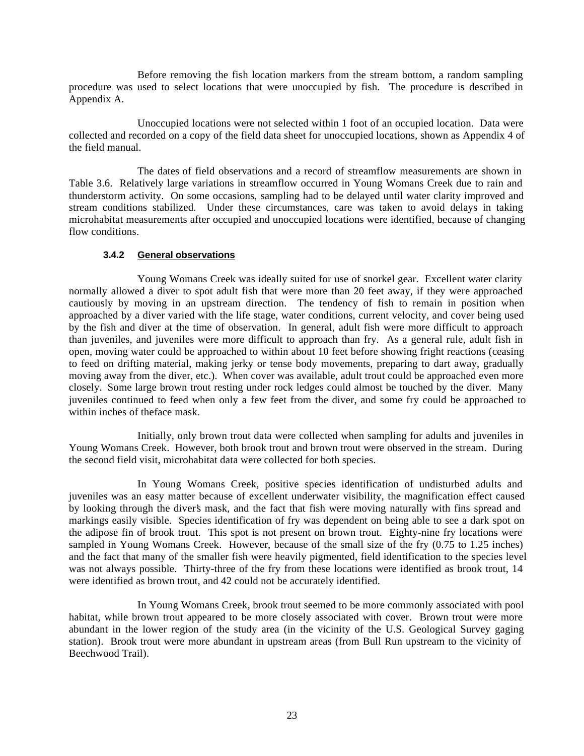Before removing the fish location markers from the stream bottom, a random sampling procedure was used to select locations that were unoccupied by fish. The procedure is described in Appendix A.

Unoccupied locations were not selected within 1 foot of an occupied location. Data were collected and recorded on a copy of the field data sheet for unoccupied locations, shown as Appendix 4 of the field manual.

The dates of field observations and a record of streamflow measurements are shown in Table 3.6. Relatively large variations in streamflow occurred in Young Womans Creek due to rain and thunderstorm activity. On some occasions, sampling had to be delayed until water clarity improved and stream conditions stabilized. Under these circumstances, care was taken to avoid delays in taking microhabitat measurements after occupied and unoccupied locations were identified, because of changing flow conditions.

## **3.4.2 General observations**

Young Womans Creek was ideally suited for use of snorkel gear. Excellent water clarity normally allowed a diver to spot adult fish that were more than 20 feet away, if they were approached cautiously by moving in an upstream direction. The tendency of fish to remain in position when approached by a diver varied with the life stage, water conditions, current velocity, and cover being used by the fish and diver at the time of observation. In general, adult fish were more difficult to approach than juveniles, and juveniles were more difficult to approach than fry. As a general rule, adult fish in open, moving water could be approached to within about 10 feet before showing fright reactions (ceasing to feed on drifting material, making jerky or tense body movements, preparing to dart away, gradually moving away from the diver, etc.). When cover was available, adult trout could be approached even more closely. Some large brown trout resting under rock ledges could almost be touched by the diver. Many juveniles continued to feed when only a few feet from the diver, and some fry could be approached to within inches of the face mask.

Initially, only brown trout data were collected when sampling for adults and juveniles in Young Womans Creek. However, both brook trout and brown trout were observed in the stream. During the second field visit, microhabitat data were collected for both species.

In Young Womans Creek, positive species identification of undisturbed adults and juveniles was an easy matter because of excellent underwater visibility, the magnification effect caused by looking through the diver's mask, and the fact that fish were moving naturally with fins spread and markings easily visible. Species identification of fry was dependent on being able to see a dark spot on the adipose fin of brook trout. This spot is not present on brown trout. Eighty-nine fry locations were sampled in Young Womans Creek. However, because of the small size of the fry  $(0.75 \text{ to } 1.25 \text{ inches})$ and the fact that many of the smaller fish were heavily pigmented, field identification to the species level was not always possible. Thirty-three of the fry from these locations were identified as brook trout, 14 were identified as brown trout, and 42 could not be accurately identified.

In Young Womans Creek, brook trout seemed to be more commonly associated with pool habitat, while brown trout appeared to be more closely associated with cover. Brown trout were more abundant in the lower region of the study area (in the vicinity of the U.S. Geological Survey gaging station). Brook trout were more abundant in upstream areas (from Bull Run upstream to the vicinity of Beechwood Trail).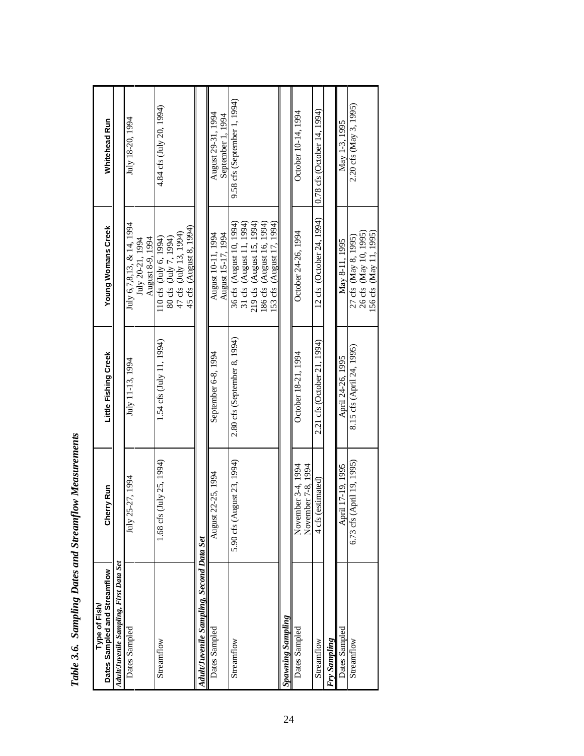| Dates Sampled and Streamflow<br>Type of Fish/ | Cherry Run                               | Little Fishing Creek               | <b>Young Womans Creek</b>                                                                            | Whitehead Run                           |
|-----------------------------------------------|------------------------------------------|------------------------------------|------------------------------------------------------------------------------------------------------|-----------------------------------------|
| Adult/Juvenile Sampling, First Data Set       |                                          |                                    |                                                                                                      |                                         |
| Dates Sampled                                 | July 25-27, 1994                         | July 11-13, 1994                   | July 6,7,8,13, & 14, 1994<br>August 8-9, 1994<br>July 20-21, 1994                                    | July 18-20, 1994                        |
| Streamflow                                    | $($ July 25, 1994)<br>1.68 cfs           | $1.54 \text{ cfs (July 11, 1994)}$ | 45 cfs (August 8, 1994)<br>47 cfs (July 13, 1994)<br>110 cfs (July 6, 1994)<br>80 cfs (July 7, 1994) | 4.84 cfs (July 20, 1994)                |
| Adult/Juvenile Sampling, Second Data Set      |                                          |                                    |                                                                                                      |                                         |
| Dates Sampled                                 | 22-25, 1994<br>August                    | September 6-8, 1994                | August 15-17, 1994<br>August 10-11, 1994                                                             | August 29-31, 1994<br>September 1, 1994 |
| Streamflow                                    | 5.90 cfs (August 23, 1994)               | 2.80 cfs (September 8, 1994)       | 36 cfs (August 10, 1994)                                                                             | 9.58 cfs (September 1, 1994)            |
|                                               |                                          |                                    | 31 cfs (August 11, 1994)<br>219 cfs (August 15, 1994)                                                |                                         |
|                                               |                                          |                                    | 186 cfs (August 16, 1994)<br>153 cfs (August 17, 1994)                                               |                                         |
| Spawning Sampling                             |                                          |                                    |                                                                                                      |                                         |
| Dates Sampled                                 | November 3-4, 1994<br>November 7-8, 1994 | October 18-21, 1994                | October 24-26, 1994                                                                                  | October 10-14, 1994                     |
| Streamflow                                    | (estimated)<br>$4 \text{ cfs}$           | 2.21 cfs (October 21, 1994)        | 12 cfs (October 24, 1994)                                                                            | $0.78$ cfs (October 14, 1994)           |
| Fry Sampling                                  |                                          |                                    |                                                                                                      |                                         |
| Dates Sampled                                 | April 17-19, 1995                        | April 24-26, 1995                  | May 8-11, 1995                                                                                       | May 1-3, 1995                           |
| Streamflow                                    | 6.73 cfs (April 19, 1995)                | 8.15 cfs (April 24, 1995)          | 27 cfs (May 8, 1995)<br>26 cfs (May 10, 1995)<br>156 cfs (May 11, 1995)                              | 2.20 cfs (May 3, 1995)                  |

Table 3.6. Sampling Dates and Streamflow Measurements *Table 3.6. Sampling Dates and Streamflow Measurements*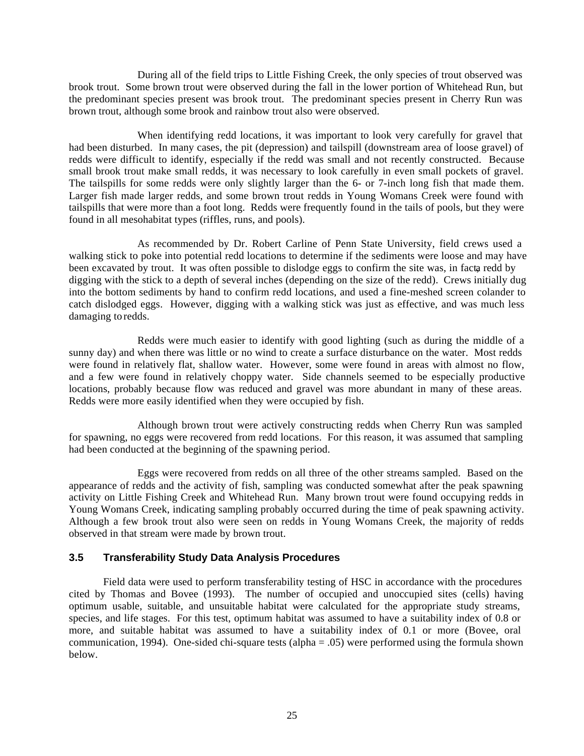During all of the field trips to Little Fishing Creek, the only species of trout observed was brook trout. Some brown trout were observed during the fall in the lower portion of Whitehead Run, but the predominant species present was brook trout. The predominant species present in Cherry Run was brown trout, although some brook and rainbow trout also were observed.

When identifying redd locations, it was important to look very carefully for gravel that had been disturbed. In many cases, the pit (depression) and tailspill (downstream area of loose gravel) of redds were difficult to identify, especially if the redd was small and not recently constructed. Because small brook trout make small redds, it was necessary to look carefully in even small pockets of gravel. The tailspills for some redds were only slightly larger than the 6- or 7-inch long fish that made them. Larger fish made larger redds, and some brown trout redds in Young Womans Creek were found with tailspills that were more than a foot long. Redds were frequently found in the tails of pools, but they were found in all mesohabitat types (riffles, runs, and pools).

As recommended by Dr. Robert Carline of Penn State University, field crews used a walking stick to poke into potential redd locations to determine if the sediments were loose and may have been excavated by trout. It was often possible to dislodge eggs to confirm the site was, in facta redd by digging with the stick to a depth of several inches (depending on the size of the redd). Crews initially dug into the bottom sediments by hand to confirm redd locations, and used a fine-meshed screen colander to catch dislodged eggs. However, digging with a walking stick was just as effective, and was much less damaging to redds.

Redds were much easier to identify with good lighting (such as during the middle of a sunny day) and when there was little or no wind to create a surface disturbance on the water. Most redds were found in relatively flat, shallow water. However, some were found in areas with almost no flow, and a few were found in relatively choppy water. Side channels seemed to be especially productive locations, probably because flow was reduced and gravel was more abundant in many of these areas. Redds were more easily identified when they were occupied by fish.

Although brown trout were actively constructing redds when Cherry Run was sampled for spawning, no eggs were recovered from redd locations. For this reason, it was assumed that sampling had been conducted at the beginning of the spawning period.

Eggs were recovered from redds on all three of the other streams sampled. Based on the appearance of redds and the activity of fish, sampling was conducted somewhat after the peak spawning activity on Little Fishing Creek and Whitehead Run. Many brown trout were found occupying redds in Young Womans Creek, indicating sampling probably occurred during the time of peak spawning activity. Although a few brook trout also were seen on redds in Young Womans Creek, the majority of redds observed in that stream were made by brown trout.

## **3.5 Transferability Study Data Analysis Procedures**

Field data were used to perform transferability testing of HSC in accordance with the procedures cited by Thomas and Bovee (1993). The number of occupied and unoccupied sites (cells) having optimum usable, suitable, and unsuitable habitat were calculated for the appropriate study streams, species, and life stages. For this test, optimum habitat was assumed to have a suitability index of 0.8 or more, and suitable habitat was assumed to have a suitability index of 0.1 or more (Bovee, oral communication, 1994). One-sided chi-square tests (alpha  $= .05$ ) were performed using the formula shown below.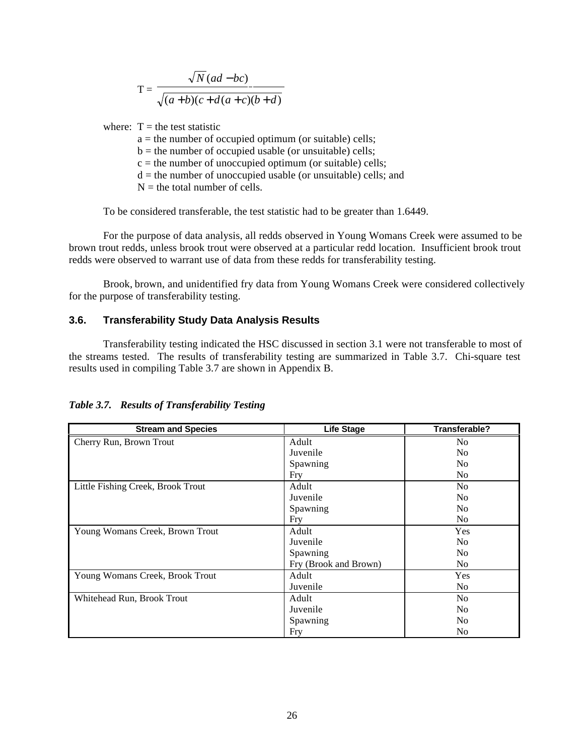$T =$ *N ad bc*  $a+b$  $(c+d(a+c)(b+d))$  $(ad-bc)$  $(a + b)(c + d(a + c)(b + d))$ −  $+b)(c+d(a+c)(b+d)$ 

where:  $T =$  the test statistic

a = the number of occupied optimum (or suitable) cells;

 $b =$  the number of occupied usable (or unsuitable) cells;

 $c =$  the number of unoccupied optimum (or suitable) cells;

 $d =$  the number of unoccupied usable (or unsuitable) cells; and

 $N =$  the total number of cells.

To be considered transferable, the test statistic had to be greater than 1.6449.

For the purpose of data analysis, all redds observed in Young Womans Creek were assumed to be brown trout redds, unless brook trout were observed at a particular redd location. Insufficient brook trout redds were observed to warrant use of data from these redds for transferability testing.

Brook, brown, and unidentified fry data from Young Womans Creek were considered collectively for the purpose of transferability testing.

#### **3.6. Transferability Study Data Analysis Results**

Transferability testing indicated the HSC discussed in section 3.1 were not transferable to most of the streams tested. The results of transferability testing are summarized in Table 3.7. Chi-square test results used in compiling Table 3.7 are shown in Appendix B.

| <b>Stream and Species</b>         | <b>Life Stage</b>     | Transferable?  |
|-----------------------------------|-----------------------|----------------|
| Cherry Run, Brown Trout           | Adult                 | No             |
|                                   | Juvenile              | No.            |
|                                   | Spawning              | N <sub>0</sub> |
|                                   | Fry                   | No.            |
| Little Fishing Creek, Brook Trout | Adult                 | N <sub>o</sub> |
|                                   | Juvenile              | No.            |
|                                   | Spawning              | No.            |
|                                   | Fry                   | No.            |
| Young Womans Creek, Brown Trout   | Adult                 | Yes            |
|                                   | Juvenile              | No.            |
|                                   | Spawning              | No.            |
|                                   | Fry (Brook and Brown) | No.            |
| Young Womans Creek, Brook Trout   | Adult                 | Yes            |
|                                   | Juvenile              | N <sub>0</sub> |
| Whitehead Run, Brook Trout        | Adult                 | N <sub>0</sub> |
|                                   | Juvenile              | N <sub>0</sub> |
|                                   | Spawning              | No.            |
|                                   | Fry                   | N <sub>0</sub> |

*Table 3.7. Results of Transferability Testing*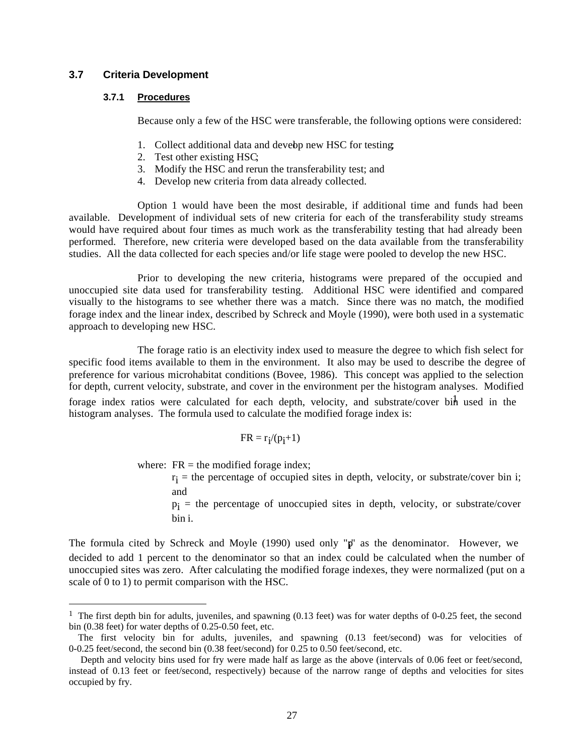#### **3.7 Criteria Development**

#### **3.7.1 Procedures**

Because only a few of the HSC were transferable, the following options were considered:

- 1. Collect additional data and develop new HSC for testing.
- 2. Test other existing HSC;
- 3. Modify the HSC and rerun the transferability test; and
- 4. Develop new criteria from data already collected.

Option 1 would have been the most desirable, if additional time and funds had been available. Development of individual sets of new criteria for each of the transferability study streams would have required about four times as much work as the transferability testing that had already been performed. Therefore, new criteria were developed based on the data available from the transferability studies. All the data collected for each species and/or life stage were pooled to develop the new HSC.

Prior to developing the new criteria, histograms were prepared of the occupied and unoccupied site data used for transferability testing. Additional HSC were identified and compared visually to the histograms to see whether there was a match. Since there was no match, the modified forage index and the linear index, described by Schreck and Moyle (1990), were both used in a systematic approach to developing new HSC.

The forage ratio is an electivity index used to measure the degree to which fish select for specific food items available to them in the environment. It also may be used to describe the degree of preference for various microhabitat conditions (Bovee, 1986). This concept was applied to the selection for depth, current velocity, substrate, and cover in the environment per the histogram analyses. Modified forage index ratios were calculated for each depth, velocity, and substrate/cover bin used in the histogram analyses. The formula used to calculate the modified forage index is:

$$
FR=r_{\boldsymbol{i}}/(p_{\boldsymbol{i}}{+}1)
$$

where:  $FR =$  the modified forage index;

 $r_i$  = the percentage of occupied sites in depth, velocity, or substrate/cover bin i; and

pi = the percentage of unoccupied sites in depth, velocity, or substrate/cover bin i.

The formula cited by Schreck and Moyle (1990) used only "p" as the denominator. However, we decided to add 1 percent to the denominator so that an index could be calculated when the number of unoccupied sites was zero. After calculating the modified forage indexes, they were normalized (put on a scale of 0 to 1) to permit comparison with the HSC.

<sup>&</sup>lt;sup>1</sup> The first depth bin for adults, juveniles, and spawning (0.13 feet) was for water depths of 0-0.25 feet, the second bin (0.38 feet) for water depths of 0.25-0.50 feet, etc.

The first velocity bin for adults, juveniles, and spawning (0.13 feet/second) was for velocities of 0-0.25 feet/second, the second bin (0.38 feet/second) for 0.25 to 0.50 feet/second, etc.

Depth and velocity bins used for fry were made half as large as the above (intervals of 0.06 feet or feet/second, instead of 0.13 feet or feet/second, respectively) because of the narrow range of depths and velocities for sites occupied by fry.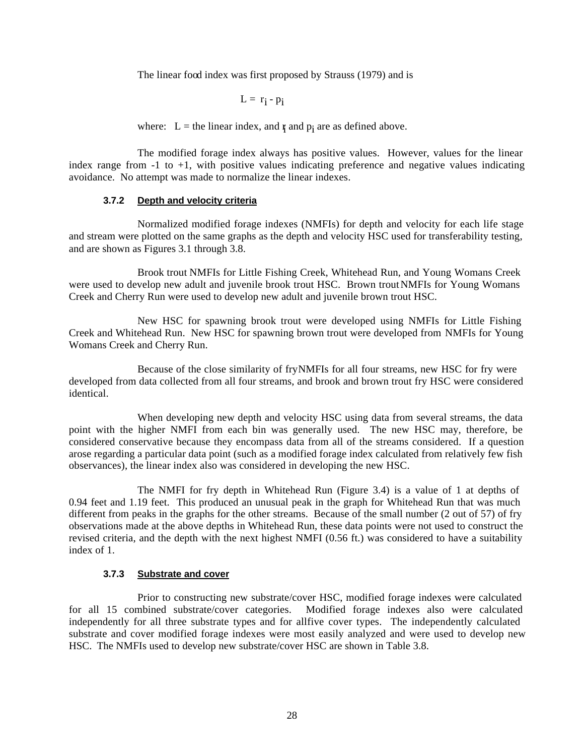The linear food index was first proposed by Strauss (1979) and is

$$
L = r_i - p_i
$$

where:  $L =$  the linear index, and  $\mathbf{r}_i$  and  $\mathbf{p}_i$  are as defined above.

The modified forage index always has positive values. However, values for the linear index range from  $-1$  to  $+1$ , with positive values indicating preference and negative values indicating avoidance. No attempt was made to normalize the linear indexes.

## **3.7.2 Depth and velocity criteria**

Normalized modified forage indexes (NMFIs) for depth and velocity for each life stage and stream were plotted on the same graphs as the depth and velocity HSC used for transferability testing, and are shown as Figures 3.1 through 3.8.

Brook trout NMFIs for Little Fishing Creek, Whitehead Run, and Young Womans Creek were used to develop new adult and juvenile brook trout HSC. Brown trout NMFIs for Young Womans Creek and Cherry Run were used to develop new adult and juvenile brown trout HSC.

New HSC for spawning brook trout were developed using NMFIs for Little Fishing Creek and Whitehead Run. New HSC for spawning brown trout were developed from NMFIs for Young Womans Creek and Cherry Run.

Because of the close similarity of fry NMFIs for all four streams, new HSC for fry were developed from data collected from all four streams, and brook and brown trout fry HSC were considered identical.

When developing new depth and velocity HSC using data from several streams, the data point with the higher NMFI from each bin was generally used. The new HSC may, therefore, be considered conservative because they encompass data from all of the streams considered. If a question arose regarding a particular data point (such as a modified forage index calculated from relatively few fish observances), the linear index also was considered in developing the new HSC.

The NMFI for fry depth in Whitehead Run (Figure 3.4) is a value of 1 at depths of 0.94 feet and 1.19 feet. This produced an unusual peak in the graph for Whitehead Run that was much different from peaks in the graphs for the other streams. Because of the small number (2 out of 57) of fry observations made at the above depths in Whitehead Run, these data points were not used to construct the revised criteria, and the depth with the next highest NMFI (0.56 ft.) was considered to have a suitability index of 1.

## **3.7.3 Substrate and cover**

Prior to constructing new substrate/cover HSC, modified forage indexes were calculated for all 15 combined substrate/cover categories. Modified forage indexes also were calculated independently for all three substrate types and for allfive cover types. The independently calculated substrate and cover modified forage indexes were most easily analyzed and were used to develop new HSC. The NMFIs used to develop new substrate/cover HSC are shown in Table 3.8.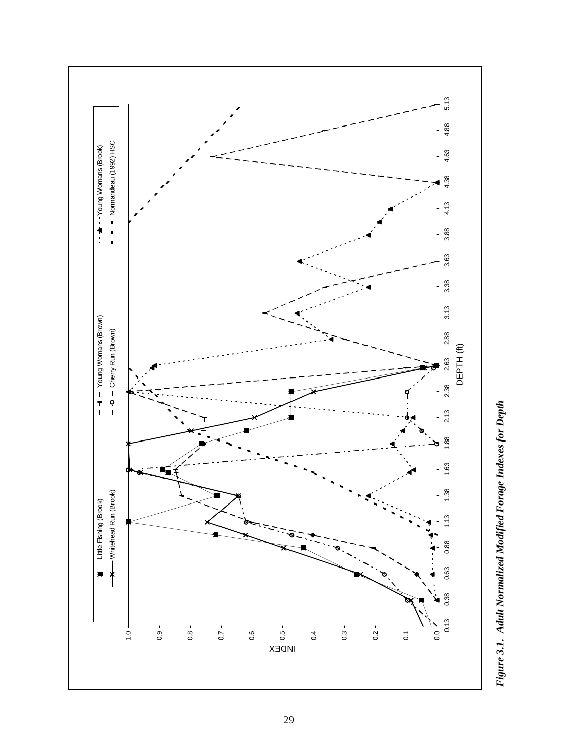

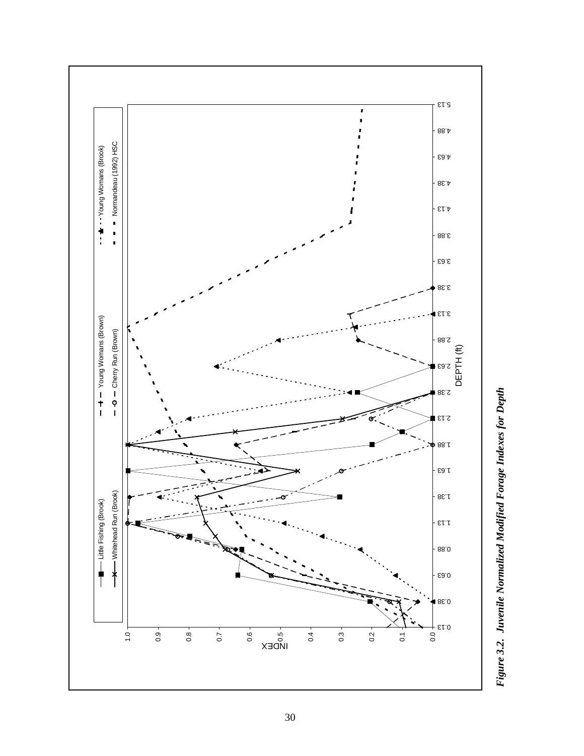

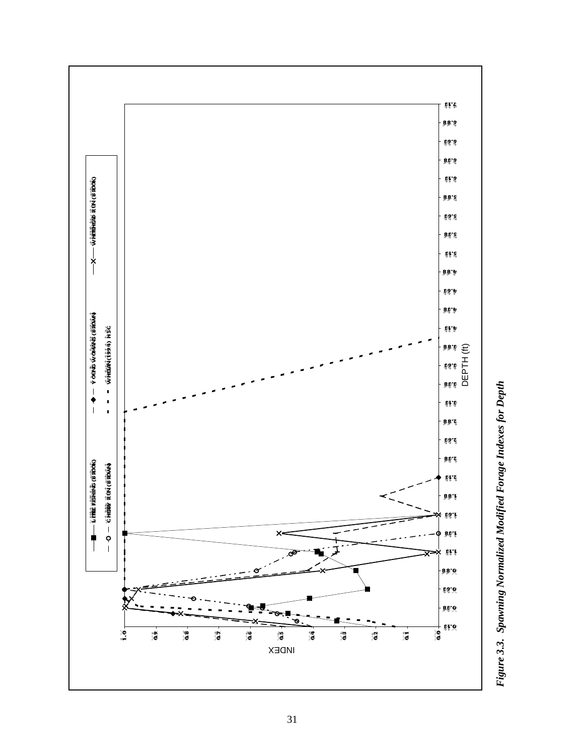

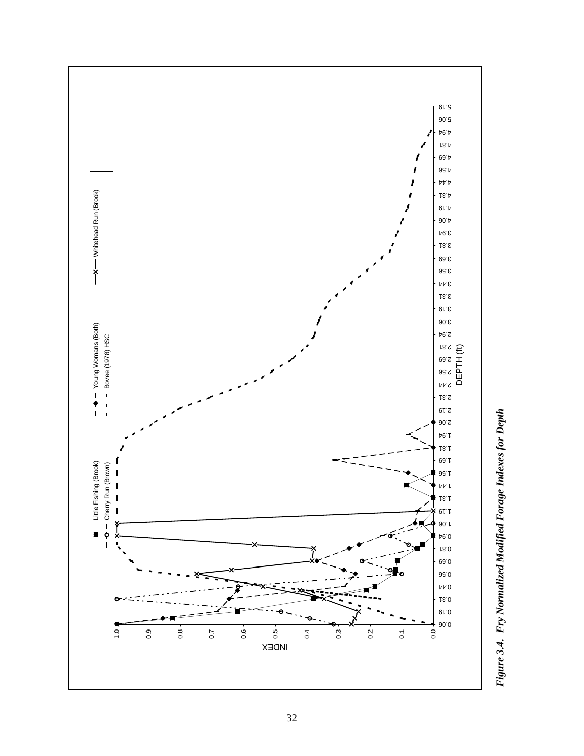

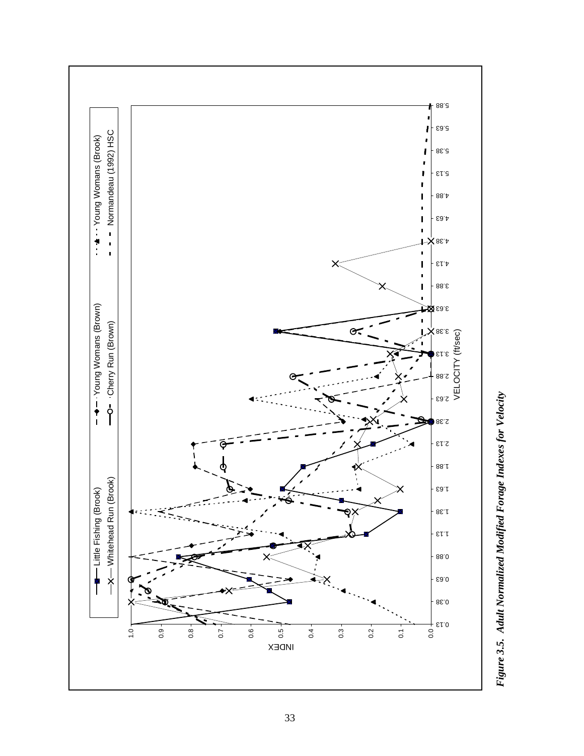

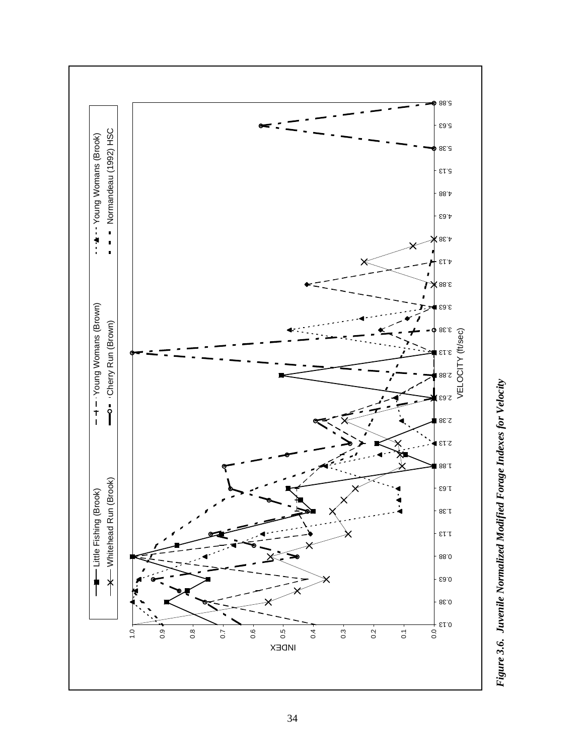

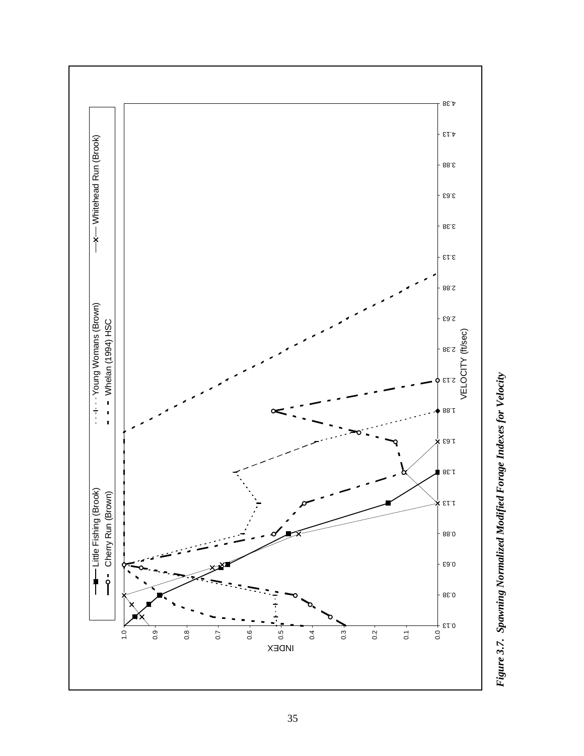

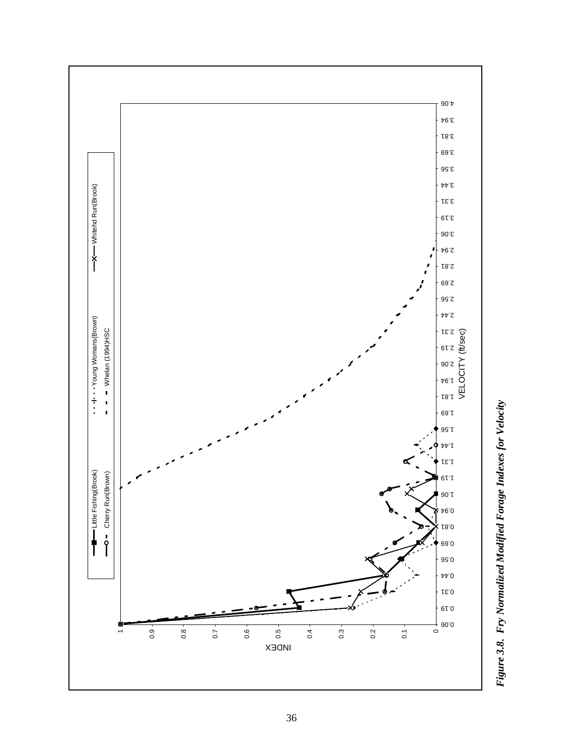

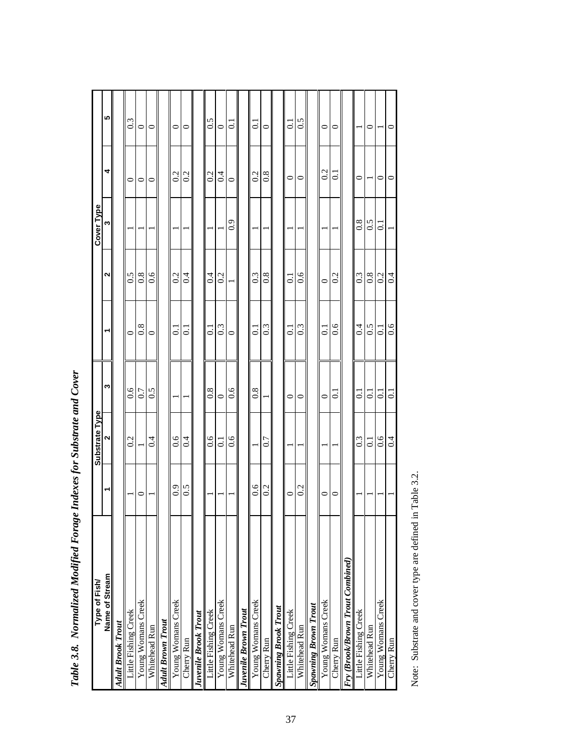| Name of Stream<br>Type of Fish/  |         | Substrate Type<br><u>N</u> | က              | ᅴ              | $\sim$           | Cover Type<br>ო | 4              | 5                |
|----------------------------------|---------|----------------------------|----------------|----------------|------------------|-----------------|----------------|------------------|
| <b>Adult Brook Trout</b>         |         |                            |                |                |                  |                 |                |                  |
| Little Fishing Creek             |         | 0.2                        | 0.6            | $\circ$        | 0.5              |                 | $\circ$        | 0.3              |
| Young Womans Creek               | 0       |                            | 0.7            | 0.8            | 0.8              |                 | 0              | $\circ$          |
| Whitehead Run                    |         | 0.4                        | 0.5            | $\circ$        | 0.6              |                 | $\circ$        | $\circ$          |
| <b>Adult Brown Trout</b>         |         |                            |                |                |                  |                 |                |                  |
| Young Womans Creek               | 6.9     | 0.6                        |                | $\overline{c}$ | 0.2              |                 | 0.2            | $\circ$          |
| Cherry Run                       | 0.5     | 0.4                        |                | $\overline{c}$ | 0.4              |                 | 0.2            | $\circ$          |
| <b>Juvenile Brook Trout</b>      |         |                            |                |                |                  |                 |                |                  |
| Little Fishing Creek             |         | 0.6                        | 0.8            | $\overline{0}$ | 0.4              |                 | 0.2            | 0.5              |
| Young Womans Creek               |         | $\overline{0.1}$           | $\circ$        | 0.3            | 0.2              |                 | 0.4            | $\circ$          |
| Whitehead Run                    |         | 0.6                        | 0.6            | $\circ$        |                  | 0.9             | $\circ$        | $\overline{0}$ . |
| Juvenile Brown Trout             |         |                            |                |                |                  |                 |                |                  |
| Young Womans Creek               | 0.6     |                            | 0.8            | $\overline{c}$ | 0.3              |                 | 0.2            | $\overline{c}$   |
| Cherry Run                       | 0.2     | 0.7                        |                | 0.3            | 0.8              |                 | 0.8            | $\circ$          |
| <b>Spawning Brook Trout</b>      |         |                            |                |                |                  |                 |                |                  |
| Little Fishing Creek             | $\circ$ |                            | $\circ$        | $\overline{0}$ | $\overline{0}$ . |                 | $\circ$        | $\overline{0}$ . |
| Whitehead Run                    | 0.2     |                            | $\circ$        | 0.3            | 0.6              |                 | $\circ$        | 0.5              |
| Spawning Brown Trout             |         |                            |                |                |                  |                 |                |                  |
| Young Womans Creek               | $\circ$ |                            | $\circ$        | $\overline{0}$ | $\circ$          |                 | 0.2            | $\circ$          |
| Cherry Run                       | $\circ$ |                            | $\overline{c}$ | 0.6            | 0.2              |                 | $\overline{c}$ | $\circ$          |
| Fry (Brook/Brown Trout Combined) |         |                            |                |                |                  |                 |                |                  |
| Little Fishing Creek             |         | $0.\overline{3}$           | $\overline{c}$ | 0.4            | 0.3              | 0.8             | $\circ$        |                  |
| Whitehead Run                    |         | 0.1                        | ತ              | 0.5            | $0.\overline{8}$ | 0.5             |                | 0                |
| Young Womans Creek               |         | 0.6                        | $\overline{c}$ | $\overline{c}$ | 0.2              | $\overline{c}$  | 0              |                  |
| Cherry Run                       |         | 0.4                        | ៑              | 0.6            | 0.4              |                 | 0              | $\circ$          |

Table 3.8. Normalized Modified Forage Indexes for Substrate and Cover *Table 3.8. Normalized Modified Forage Indexes for Substrate and Cover*

Note: Substrate and cover type are defined in Table 3.2. Note: Substrate and cover type are defined in Table 3.2.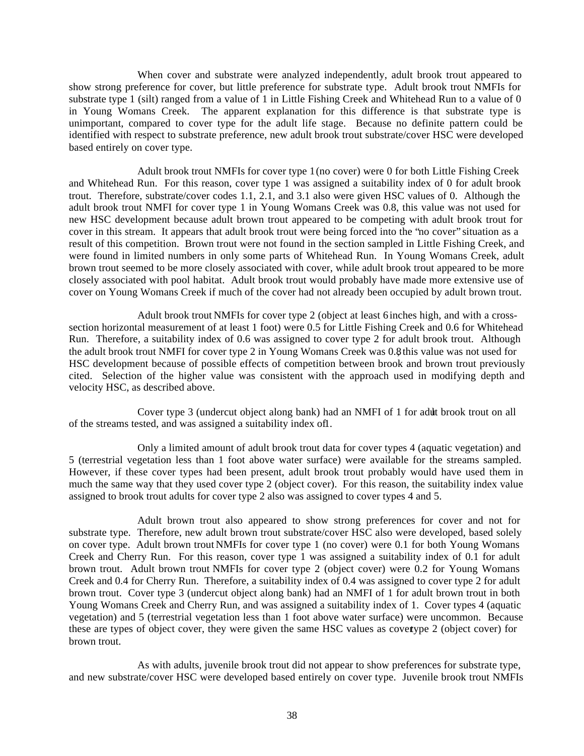When cover and substrate were analyzed independently, adult brook trout appeared to show strong preference for cover, but little preference for substrate type. Adult brook trout NMFIs for substrate type 1 (silt) ranged from a value of 1 in Little Fishing Creek and Whitehead Run to a value of 0 in Young Womans Creek. The apparent explanation for this difference is that substrate type is unimportant, compared to cover type for the adult life stage. Because no definite pattern could be identified with respect to substrate preference, new adult brook trout substrate/cover HSC were developed based entirely on cover type.

Adult brook trout NMFIs for cover type 1 (no cover) were 0 for both Little Fishing Creek and Whitehead Run. For this reason, cover type 1 was assigned a suitability index of 0 for adult brook trout. Therefore, substrate/cover codes 1.1, 2.1, and 3.1 also were given HSC values of 0. Although the adult brook trout NMFI for cover type 1 in Young Womans Creek was 0.8, this value was not used for new HSC development because adult brown trout appeared to be competing with adult brook trout for cover in this stream. It appears that adult brook trout were being forced into the "no cover" situation as a result of this competition. Brown trout were not found in the section sampled in Little Fishing Creek, and were found in limited numbers in only some parts of Whitehead Run. In Young Womans Creek, adult brown trout seemed to be more closely associated with cover, while adult brook trout appeared to be more closely associated with pool habitat. Adult brook trout would probably have made more extensive use of cover on Young Womans Creek if much of the cover had not already been occupied by adult brown trout.

Adult brook trout NMFIs for cover type 2 (object at least 6 inches high, and with a crosssection horizontal measurement of at least 1 foot) were 0.5 for Little Fishing Creek and 0.6 for Whitehead Run. Therefore, a suitability index of 0.6 was assigned to cover type 2 for adult brook trout. Although the adult brook trout NMFI for cover type 2 in Young Womans Creek was 0.8, this value was not used for HSC development because of possible effects of competition between brook and brown trout previously cited. Selection of the higher value was consistent with the approach used in modifying depth and velocity HSC, as described above.

Cover type 3 (undercut object along bank) had an NMFI of 1 for adult brook trout on all of the streams tested, and was assigned a suitability index of l.

Only a limited amount of adult brook trout data for cover types 4 (aquatic vegetation) and 5 (terrestrial vegetation less than 1 foot above water surface) were available for the streams sampled. However, if these cover types had been present, adult brook trout probably would have used them in much the same way that they used cover type 2 (object cover). For this reason, the suitability index value assigned to brook trout adults for cover type 2 also was assigned to cover types 4 and 5.

Adult brown trout also appeared to show strong preferences for cover and not for substrate type. Therefore, new adult brown trout substrate/cover HSC also were developed, based solely on cover type. Adult brown trout NMFIs for cover type 1 (no cover) were 0.1 for both Young Womans Creek and Cherry Run. For this reason, cover type 1 was assigned a suitability index of 0.1 for adult brown trout. Adult brown trout NMFIs for cover type 2 (object cover) were 0.2 for Young Womans Creek and 0.4 for Cherry Run. Therefore, a suitability index of 0.4 was assigned to cover type 2 for adult brown trout. Cover type 3 (undercut object along bank) had an NMFI of 1 for adult brown trout in both Young Womans Creek and Cherry Run, and was assigned a suitability index of 1. Cover types 4 (aquatic vegetation) and 5 (terrestrial vegetation less than 1 foot above water surface) were uncommon. Because these are types of object cover, they were given the same HSC values as cover type 2 (object cover) for brown trout.

As with adults, juvenile brook trout did not appear to show preferences for substrate type, and new substrate/cover HSC were developed based entirely on cover type. Juvenile brook trout NMFIs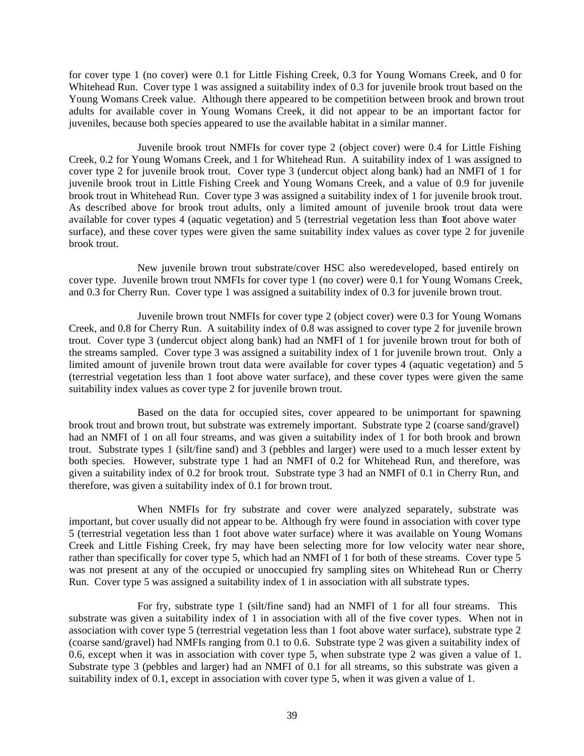for cover type 1 (no cover) were 0.1 for Little Fishing Creek, 0.3 for Young Womans Creek, and 0 for Whitehead Run. Cover type 1 was assigned a suitability index of 0.3 for juvenile brook trout based on the Young Womans Creek value. Although there appeared to be competition between brook and brown trout adults for available cover in Young Womans Creek, it did not appear to be an important factor for juveniles, because both species appeared to use the available habitat in a similar manner.

Juvenile brook trout NMFIs for cover type 2 (object cover) were 0.4 for Little Fishing Creek, 0.2 for Young Womans Creek, and 1 for Whitehead Run. A suitability index of 1 was assigned to cover type 2 for juvenile brook trout. Cover type 3 (undercut object along bank) had an NMFI of 1 for juvenile brook trout in Little Fishing Creek and Young Womans Creek, and a value of 0.9 for juvenile brook trout in Whitehead Run. Cover type 3 was assigned a suitability index of 1 for juvenile brook trout. As described above for brook trout adults, only a limited amount of juvenile brook trout data were available for cover types 4 (aquatic vegetation) and 5 (terrestrial vegetation less than floot above water surface), and these cover types were given the same suitability index values as cover type 2 for juvenile brook trout.

New juvenile brown trout substrate/cover HSC also weredeveloped, based entirely on cover type. Juvenile brown trout NMFIs for cover type 1 (no cover) were 0.1 for Young Womans Creek, and 0.3 for Cherry Run. Cover type 1 was assigned a suitability index of 0.3 for juvenile brown trout.

Juvenile brown trout NMFIs for cover type 2 (object cover) were 0.3 for Young Womans Creek, and 0.8 for Cherry Run. A suitability index of 0.8 was assigned to cover type 2 for juvenile brown trout. Cover type 3 (undercut object along bank) had an NMFI of 1 for juvenile brown trout for both of the streams sampled. Cover type 3 was assigned a suitability index of 1 for juvenile brown trout. Only a limited amount of juvenile brown trout data were available for cover types 4 (aquatic vegetation) and 5 (terrestrial vegetation less than 1 foot above water surface), and these cover types were given the same suitability index values as cover type 2 for juvenile brown trout.

Based on the data for occupied sites, cover appeared to be unimportant for spawning brook trout and brown trout, but substrate was extremely important. Substrate type 2 (coarse sand/gravel) had an NMFI of 1 on all four streams, and was given a suitability index of 1 for both brook and brown trout. Substrate types 1 (silt/fine sand) and 3 (pebbles and larger) were used to a much lesser extent by both species. However, substrate type 1 had an NMFI of 0.2 for Whitehead Run, and therefore, was given a suitability index of 0.2 for brook trout. Substrate type 3 had an NMFI of 0.1 in Cherry Run, and therefore, was given a suitability index of 0.1 for brown trout.

When NMFIs for fry substrate and cover were analyzed separately, substrate was important, but cover usually did not appear to be. Although fry were found in association with cover type 5 (terrestrial vegetation less than 1 foot above water surface) where it was available on Young Womans Creek and Little Fishing Creek, fry may have been selecting more for low velocity water near shore, rather than specifically for cover type 5, which had an NMFI of 1 for both of these streams. Cover type 5 was not present at any of the occupied or unoccupied fry sampling sites on Whitehead Run or Cherry Run. Cover type 5 was assigned a suitability index of 1 in association with all substrate types.

For fry, substrate type 1 (silt/fine sand) had an NMFI of 1 for all four streams. This substrate was given a suitability index of 1 in association with all of the five cover types. When not in association with cover type 5 (terrestrial vegetation less than 1 foot above water surface), substrate type 2 (coarse sand/gravel) had NMFIs ranging from 0.1 to 0.6. Substrate type 2 was given a suitability index of 0.6, except when it was in association with cover type 5, when substrate type 2 was given a value of 1. Substrate type 3 (pebbles and larger) had an NMFI of 0.1 for all streams, so this substrate was given a suitability index of 0.1, except in association with cover type 5, when it was given a value of 1.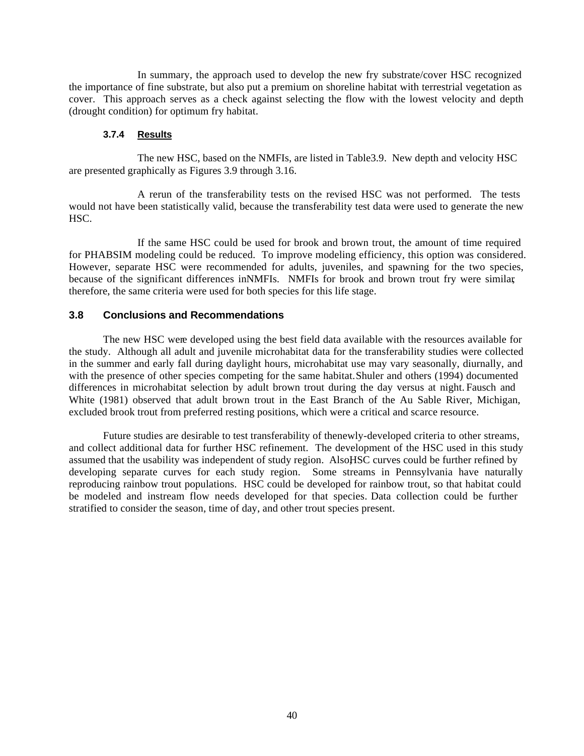In summary, the approach used to develop the new fry substrate/cover HSC recognized the importance of fine substrate, but also put a premium on shoreline habitat with terrestrial vegetation as cover. This approach serves as a check against selecting the flow with the lowest velocity and depth (drought condition) for optimum fry habitat.

#### **3.7.4 Results**

The new HSC, based on the NMFIs, are listed in Table 3.9. New depth and velocity HSC are presented graphically as Figures 3.9 through 3.16.

A rerun of the transferability tests on the revised HSC was not performed. The tests would not have been statistically valid, because the transferability test data were used to generate the new HSC.

If the same HSC could be used for brook and brown trout, the amount of time required for PHABSIM modeling could be reduced. To improve modeling efficiency, this option was considered. However, separate HSC were recommended for adults, juveniles, and spawning for the two species, because of the significant differences inNMFIs. NMFIs for brook and brown trout fry were similar, therefore, the same criteria were used for both species for this life stage.

#### **3.8 Conclusions and Recommendations**

The new HSC were developed using the best field data available with the resources available for the study. Although all adult and juvenile microhabitat data for the transferability studies were collected in the summer and early fall during daylight hours, microhabitat use may vary seasonally, diurnally, and with the presence of other species competing for the same habitat. Shuler and others (1994) documented differences in microhabitat selection by adult brown trout during the day versus at night. Fausch and White (1981) observed that adult brown trout in the East Branch of the Au Sable River, Michigan, excluded brook trout from preferred resting positions, which were a critical and scarce resource.

Future studies are desirable to test transferability of the newly-developed criteria to other streams, and collect additional data for further HSC refinement. The development of the HSC used in this study assumed that the usability was independent of study region. AlsoHSC curves could be further refined by developing separate curves for each study region. Some streams in Pennsylvania have naturally reproducing rainbow trout populations. HSC could be developed for rainbow trout, so that habitat could be modeled and instream flow needs developed for that species. Data collection could be further stratified to consider the season, time of day, and other trout species present.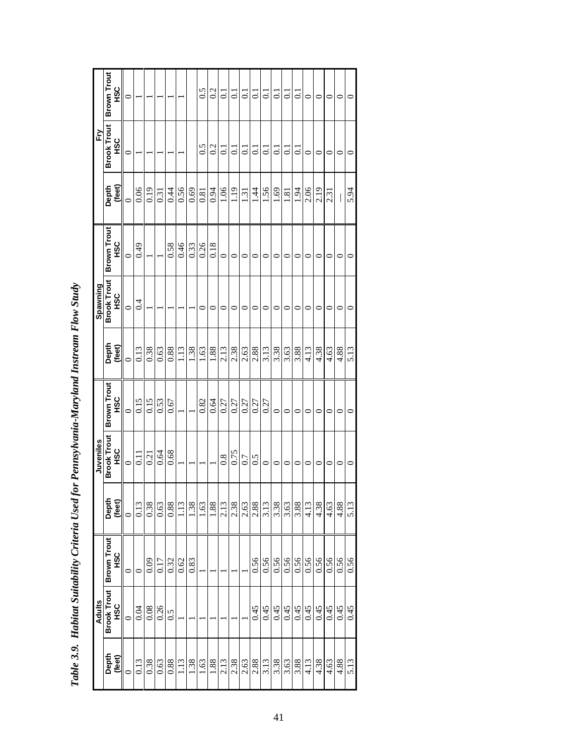|         | Adults             |                       |                  | Juveniles          |                    |         | Spawning           |                    |                                       | È                  |                    |
|---------|--------------------|-----------------------|------------------|--------------------|--------------------|---------|--------------------|--------------------|---------------------------------------|--------------------|--------------------|
| Depth   | <b>Brook Trout</b> | <b>Brown Trout</b>    | Depth            | <b>Brook Trout</b> | <b>Brown Trout</b> | Depth   | <b>Brook Trout</b> | <b>Brown Trout</b> | Depth                                 | <b>Brook Trout</b> | <b>Brown Trout</b> |
| (feet)  | <b>SC</b>          | <b>SC</b>             | (feet)           | <b>SC</b>          | нsс                | (feet)  | ЧSС                | С<br>С             | (feet)                                | <b>SC</b>          | С<br>С             |
| $\circ$ | $\circ$            | $\circ$               |                  | $\circ$            | $\circ$            | $\circ$ | $\circ$            | $\circ$            | $\circ$                               | 0                  | 0                  |
| 0.13    | 0.04               | $\mathbf{\mathsf{C}}$ | 0.13             | Ξ                  | 0.15               | 0.13    | 0.4                | 0.49               | 0.06                                  |                    |                    |
| 0.38    | 0.08               | 0.09                  | 0.38             | 0.21               | 0.15               | 0.38    |                    |                    | 0.19                                  |                    |                    |
| 0.63    | 0.26               | 0.17                  | 0.63             | 0.64               | 0.53               | 0.63    |                    |                    | 0.31                                  |                    |                    |
| 0.88    | 0.5                | 0.32                  | 0.88             | 0.68               | 0.67               | 0.88    |                    | 0.58               | 0.44                                  |                    |                    |
| 1.13    |                    | 0.62                  | 1.13             |                    |                    | 1.13    |                    | 0.46               | 0.56                                  |                    |                    |
| 1.38    |                    | 0.83                  | 1.38             |                    |                    | 1.38    |                    | 0.33               | 0.69                                  |                    |                    |
| 1.63    |                    |                       | 1.63             |                    | 0.82               | 1.63    | 0                  | 0.26               | 0.81                                  | 0.5                | 0.5                |
| 1.88    |                    |                       | 1.88             |                    | 0.64               | 1.88    | 0                  | 0.18               | 0.94                                  | 0.2                | 0.2                |
| 2.13    |                    |                       | 2.13             | 0.8                | 0.27               | 2.13    | 0                  | $\circ$            | 1.06                                  | ಪ                  | $\Xi$              |
| 2.38    |                    |                       | 2.38             | 0.75               | 0.27               | 2.38    | 0                  | 0                  | 1.19                                  | ತ                  | $\vec{\circ}$      |
| 2.63    |                    |                       | 2.63             | 0.7                | 0.27               | 2.63    | 0                  | 0                  | $\overline{13}$                       | ತ                  | $\vec{0}$          |
| 2.88    | 0.45               | 0.56                  | 2.88             | 0.5                | 0.27               | 2.88    | 0                  | 0                  | $\overline{14}$                       | $\overline{C}$     | $\vec{\circ}$      |
| 3.13    | 0.45               | 0.56                  | 3.13             | 0                  | 0.27               | 3.13    |                    | ○                  | 1.56                                  | ਤ                  | $\vec{0}$          |
| 3.38    | 0.45               | 0.56                  | 3.38             | 0                  | 0                  | 3.38    | ○                  | 0                  | 1.69                                  | $\overline{0}$ .   | $\vec{0}$          |
| 3.63    | 0.45               | 0.56                  | 3.63             | 0                  | 0                  | 3.63    | ⊂                  | ᅌ                  | 1.81                                  | ਤ                  | $\vec{\circ}$      |
| 3.88    | 0.45               | 0.56                  | 3.88             | 0                  | 0                  | 3.88    | 0                  | 0                  | 1.94                                  | ಪ                  | $\vec{\circ}$      |
| 4.13    | 0.45               | 0.56                  | 4.13             | ○                  | ⊂                  | 4.13    |                    |                    | <b>2.06</b>                           | 0                  | 0                  |
| 4.38    | 0.45               | 0.56                  | 4.38             | 0                  | 0                  | 4.38    | 0                  | 0                  | 2.19                                  | $\circ$            | 0                  |
| 4.63    | 64.0               | 0.56                  | 4.63             | 0                  | 0                  | 4.63    | 0                  | 0                  | 2.31                                  | 0                  | 0                  |
| 4.88    | 0.45               | 0.56                  | $\frac{4.88}{ }$ | 0                  | 0                  | 4.88    | 0                  | $\circ$            | $\begin{array}{c} \hline \end{array}$ | $\circ$            | 0                  |
| 5.13    | 0.45               | 0.56                  | 5.13             | 0                  | 0                  | 5.13    | 0                  | 0                  | 5.94                                  | $\circ$            | 0                  |

| ļ                                                                                      |
|----------------------------------------------------------------------------------------|
| l                                                                                      |
|                                                                                        |
|                                                                                        |
| for Per                                                                                |
|                                                                                        |
| - 1277年の12月 12月 12月 12月 12月 12月 12日<br>֧֧֧֧֧֧֚֚֚֚֚֚֚֚֚֚֚֚֚֚֚֚֚֚֚֚֚֚֚֚֚֚֚֚֚֚֚֝֝֓֝֓֝֓֝֓֝ |
| くこここ<br>                                                                               |
| ;<br>;<br>;                                                                            |
| $T_{\alpha} L I_{\alpha}$ 2 0<br>l                                                     |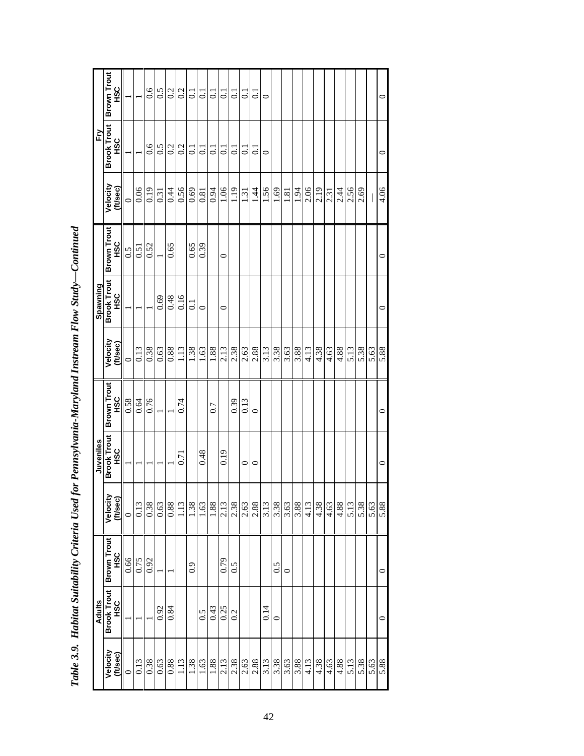|                      | <b>Adults</b>                   |                           |                      | Juveniles                       |                                 |                      | Spawning                  |                                 |                      | Fry                          |                                 |
|----------------------|---------------------------------|---------------------------|----------------------|---------------------------------|---------------------------------|----------------------|---------------------------|---------------------------------|----------------------|------------------------------|---------------------------------|
| Velocity<br>(ft/sec) | <b>Brook Trout</b><br><b>SC</b> | <b>Brown Trout</b><br>HSC | Velocity<br>(ft/sec) | <b>Brook Trout</b><br><b>SC</b> | <b>Brown Trout</b><br><b>SC</b> | Velocity<br>(ft/sec) | <b>Brook Trout</b><br>9SC | <b>Brown Trout</b><br><b>SC</b> | Velocity<br>(ft/sec) | <b>Brook Trout</b><br>С<br>С | <b>Brown Trout</b><br><b>SC</b> |
| $\circ$              |                                 | 0.66                      | $\circ$              |                                 | 0.58                            | $\circ$              |                           | 0.5                             | $\circ$              |                              |                                 |
| 0.13                 |                                 | 0.75                      | 0.13                 |                                 | 0.64                            | 0.13                 |                           | 0.51                            | 0.06                 |                              |                                 |
| 0.38                 |                                 | 0.92                      | 0.38                 |                                 | 0.76                            | 0.38                 |                           | 0.52                            | 0.19                 | 0.6                          | 0.6                             |
| 0.63                 | 0.92                            |                           | 0.63                 |                                 |                                 | 0.63                 | 0.69                      |                                 | 0.31                 | 0.5                          | 0.5                             |
| 0.88                 | 0.84                            |                           | $0.88\,$             |                                 |                                 | 0.88                 | 0.48                      | 0.65                            | 0.44                 | 0.2                          | 0.2                             |
| 1.13                 |                                 |                           | 1.13                 | $\overline{0.71}$               | 0.74                            | 1.13                 | 0.16                      |                                 | 0.56                 | 0.2                          | 0.2                             |
| 1.38                 |                                 | 0.9                       | 1.38                 |                                 |                                 | 1.38                 | $\overline{0}$ :          | 0.65                            | 0.69                 | $\overline{0}$ .             | $\Xi$                           |
| 1.63                 | 0.5                             |                           | 1.63                 | 0.48                            |                                 | 1.63                 | $\circ$                   | 0.39                            | 0.81                 | $\overline{0}$               | $\overline{c}$                  |
| 1.88                 | 0.43                            |                           | 1.88                 |                                 | 0.7                             | 1.88                 |                           |                                 | 0.94                 | $\overline{c}$               | $\overline{c}$                  |
| 2.13                 | 0.25                            | 0.79                      | 2.13                 | 0.19                            |                                 | 2.13                 | $\circ$                   | $\circ$                         | 1.06                 | $\overline{c}$               | ತ                               |
| 2.38                 | 0.2                             | 0.5                       |                      |                                 | 0.39                            | 2.38                 |                           |                                 | 1.19                 | $\overline{0}$               | $\overline{c}$                  |
| 2.63                 |                                 |                           |                      | $\circ$                         | 0.13                            | 2.63                 |                           |                                 | 1.31                 | $\overline{c}$               | $\overline{c}$                  |
| 2.88                 |                                 |                           | $\frac{2.38}{2.63}$  | $\circ$                         | $\circ$                         | 2.88                 |                           |                                 | 1.44                 | $\overline{c}$               | $\overline{\circ}$              |
| 3.13                 | 0.14                            |                           | 3.13                 |                                 |                                 | 3.13                 |                           |                                 | 1.56                 | $\circ$                      | $\bullet$                       |
| 3.38                 | $\circ$                         | 0.5                       | 3.38                 |                                 |                                 | 3.38                 |                           |                                 | 1.69                 |                              |                                 |
| 3.63                 |                                 | 0                         | 3.63                 |                                 |                                 | 3.63                 |                           |                                 | $1.81\,$             |                              |                                 |
| 3.88                 |                                 |                           | 3.88                 |                                 |                                 | 3.88                 |                           |                                 | 1.94                 |                              |                                 |
| 4.13                 |                                 |                           | 4.13                 |                                 |                                 | 4.13                 |                           |                                 | 2.06                 |                              |                                 |
| 4.38                 |                                 |                           | 4.38                 |                                 |                                 | 4.38                 |                           |                                 | 2.19                 |                              |                                 |
| 4.63                 |                                 |                           | 4.63                 |                                 |                                 | 4.63                 |                           |                                 | 2.31                 |                              |                                 |
| 4.88                 |                                 |                           | 4.88                 |                                 |                                 | 4.88                 |                           |                                 | 2.44                 |                              |                                 |
| 5.13                 |                                 |                           | 5.13                 |                                 |                                 | 5.13                 |                           |                                 | 2.56                 |                              |                                 |
| 5.38                 |                                 |                           | 5.38                 |                                 |                                 | 5.38                 |                           |                                 | 2.69                 |                              |                                 |
| 5.63                 |                                 |                           | 5.63                 |                                 |                                 | 5.63                 |                           |                                 |                      |                              |                                 |
| 5.88                 | $\circ$                         | $\circ$                   | 5.88                 | $\circ$                         | $\circ$                         | 5.88                 | $\circ$                   | $\circ$                         | 4.06                 | $\circ$                      | $\circ$                         |

Table 3.9. Habitat Suitability Criteria Used for Pennsylvania-Maryland Instream Flow Study-Continued *Table 3.9. Habitat Suitability Criteria Used for Pennsylvania-Maryland Instream Flow Study—Continued*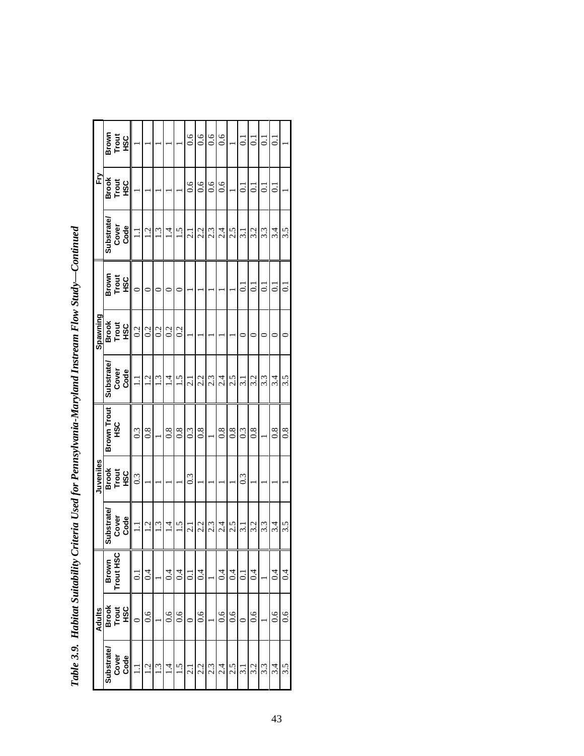| ì<br>֕                   |
|--------------------------|
|                          |
| ׇ֚֘֝֕<br>j               |
| f<br>֡֡֡֡֡֡֡             |
| ו<br>ו                   |
|                          |
| l                        |
|                          |
| j<br>$\overline{a}$<br>I |

|                    |               |                                                                                                                                                                                                           |                  |     |                  |               | 6.6              | $\frac{6}{1}$    | $\frac{6}{1}$ | $\frac{6}{1}$ |                  | $\overline{c}$ |                  |     |     |                  |
|--------------------|---------------|-----------------------------------------------------------------------------------------------------------------------------------------------------------------------------------------------------------|------------------|-----|------------------|---------------|------------------|------------------|---------------|---------------|------------------|----------------|------------------|-----|-----|------------------|
|                    |               |                                                                                                                                                                                                           |                  |     |                  |               | 0.6              | 0.6              | 0.6           | 0.6           |                  | ਡ              |                  |     | ਟ   |                  |
| <b>Substrate/</b>  | Code          | $\Xi$                                                                                                                                                                                                     | 1.2              | 1.3 | $\frac{1}{4}$    | 1.5           | $\overline{c}$   | 2.2              | 2.3           | 2.4           | 2.5              | $\frac{1}{3}$  | 3.2              | 3.3 | 3.4 | 3.5              |
|                    |               | 0                                                                                                                                                                                                         |                  |     |                  |               |                  |                  |               |               |                  | ධ              | ತ                | こ   | ಪ   | $\overline{0}$   |
|                    |               | 0.2                                                                                                                                                                                                       | 0.2              | 0.2 | 0.2              | 0.2           |                  |                  |               |               |                  |                |                  |     |     |                  |
| <b>Substrate/</b>  |               | $\Xi$                                                                                                                                                                                                     | $\overline{1}$ . | 1.3 | $\overline{1}$ . | 1.5           | $\overline{2.1}$ | 2.2              | 2.3           | 2.4           | 2.5              | $\ddot{3}$ .   | 3.2              | 3.3 | 3.4 | 3.5              |
| <b>Brown Trout</b> |               | $0.\overline{3}$                                                                                                                                                                                          | 0.8              |     | 0.8              | $\frac{8}{2}$ | $0.\overline{3}$ | $\overline{0.8}$ |               | 0.8           | $0.\overline{8}$ | 0.3            | $\overline{0.8}$ |     | 0.8 | $0.\overline{8}$ |
|                    |               | 0.3                                                                                                                                                                                                       |                  |     |                  |               | $0.\overline{3}$ |                  |               |               |                  | 0.3            |                  |     |     |                  |
| Substrate          |               | ゴ                                                                                                                                                                                                         | 1.2              | 1.3 | $\overline{1}$   | 1.5           | 2.1              | 2.2              | 2.3           | 2.4           | 2.5              | ಸ              | 3.2              | 3.3 | 3.4 | 3.5              |
|                    |               | $\overline{0}$                                                                                                                                                                                            | $\overline{0.4}$ |     | 0.4              | 0.4           | $\overline{0}$   | 0.4              |               | 0.4           | 0.4              | $\overline{0}$ | 0.4              |     | 0.4 | 0.4              |
|                    | <b>SC</b>     | $\circ$                                                                                                                                                                                                   | 0.6              |     | 0.6              | 0.6           |                  | $\overline{0.6}$ |               | 0.6           | 0.6              |                | 0.6              |     | 0.6 | $\frac{6}{1}$    |
| <b>Substrate</b>   | Cover<br>Code | ゴ                                                                                                                                                                                                         | $\overline{1}$ . | 1.3 | $\overline{14}$  | 1.5           | 2.1              | 2.2              | 2.3           | 2.4           | 2.5              | 3.1            | 3.2              | 3.3 | 3.4 | 3.5              |
|                    |               | Brown<br>Treu<br>HSC<br>종<br>Tex<br>HSC<br>Cover<br>Brown<br>Trout<br>HSC<br>하여<br>TPSC<br>HSC<br>Cover<br>Code<br><b>SSC</b><br>종<br>Teg<br>HSC<br>Cover<br>Code<br>Brown<br>Trout HSC<br>Brook<br>Trout |                  |     |                  |               |                  |                  |               |               |                  |                |                  |     |     |                  |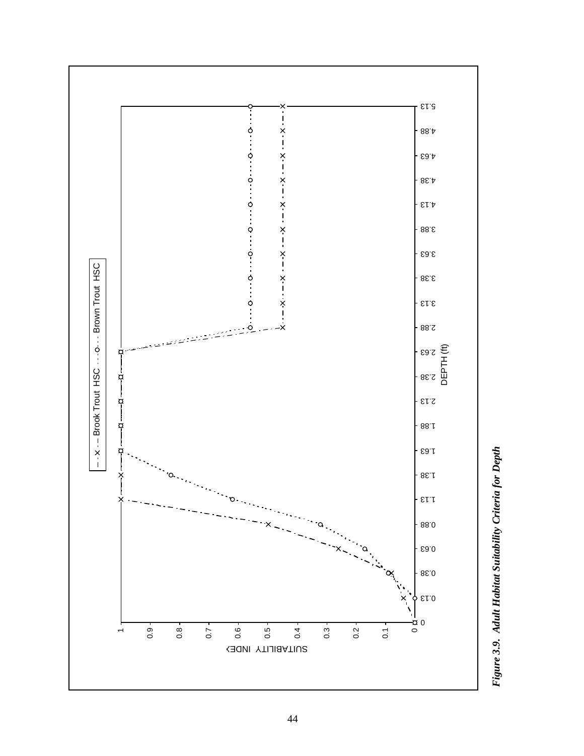

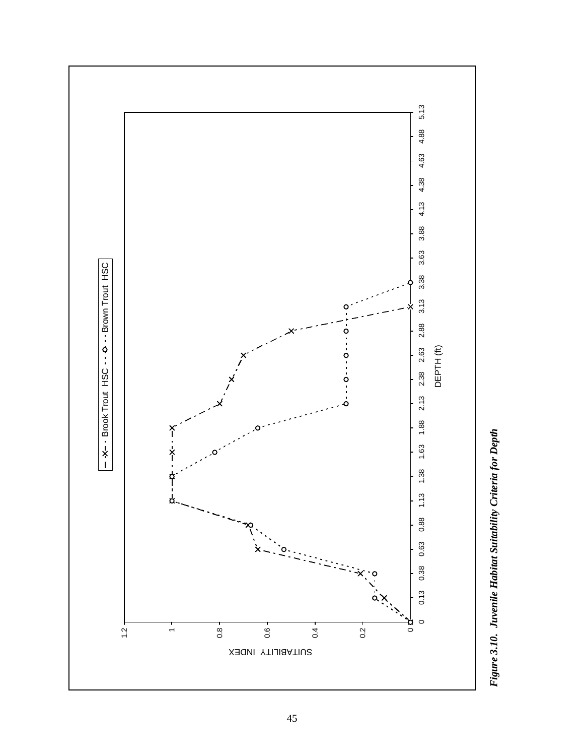

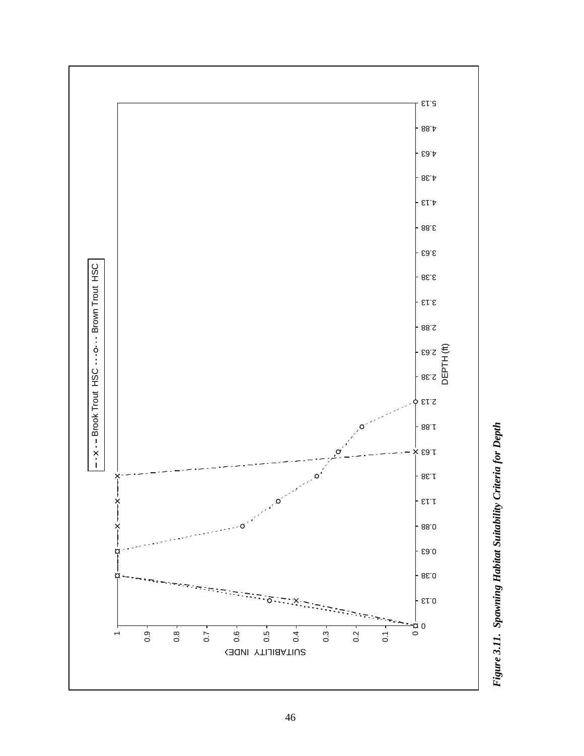

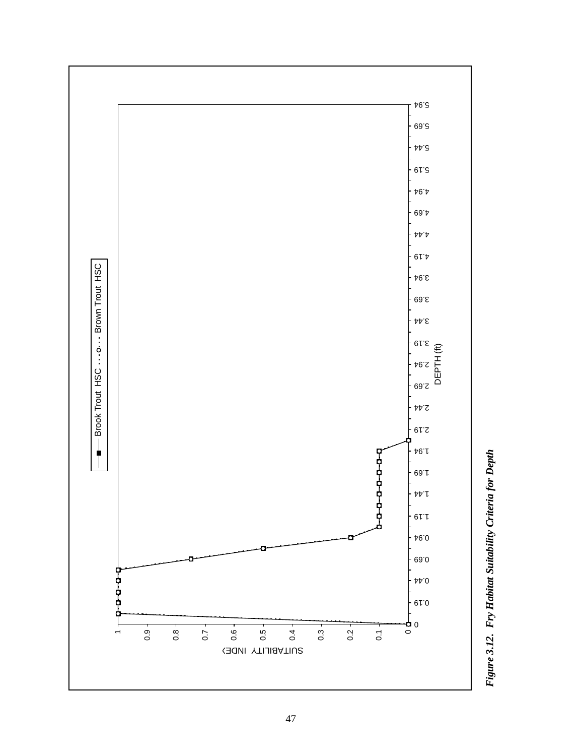

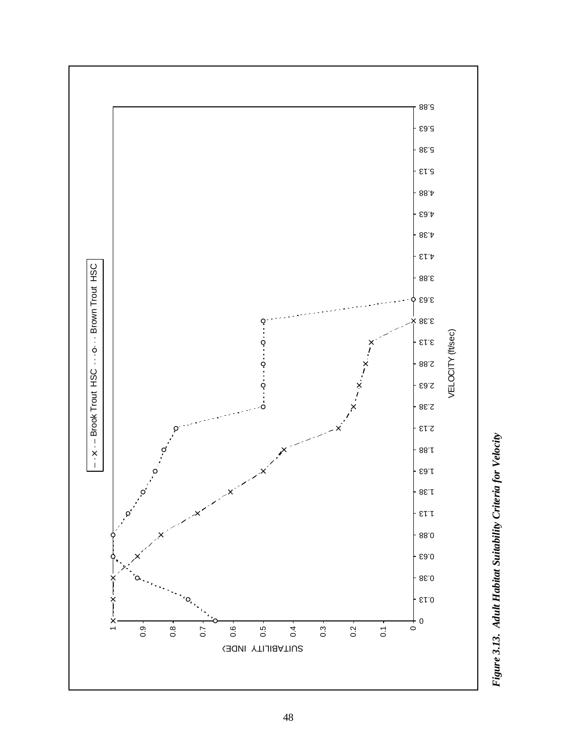

Figure 3.13. Adult Habitat Suitability Criteria for Velocity *Figure 3.13. Adult Habitat Suitability Criteria for Velocity*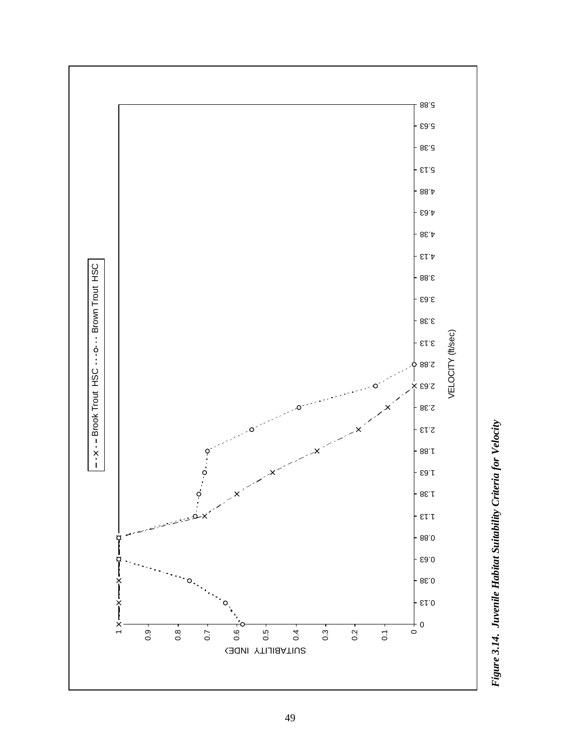

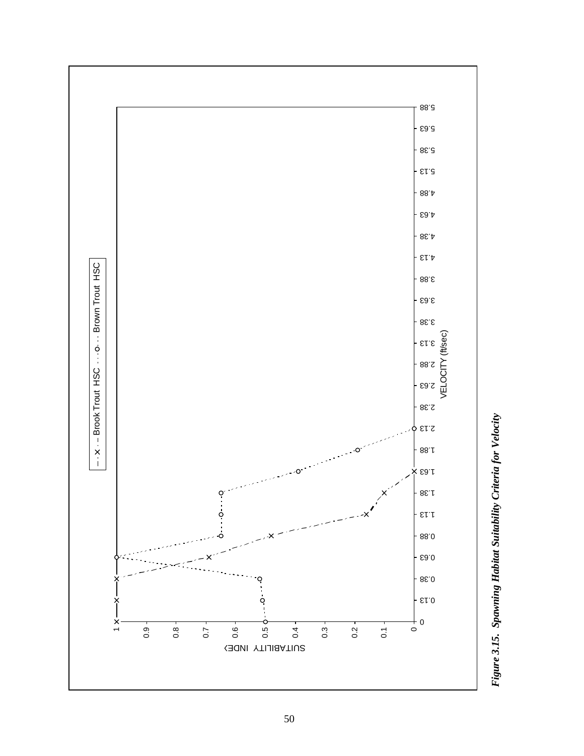